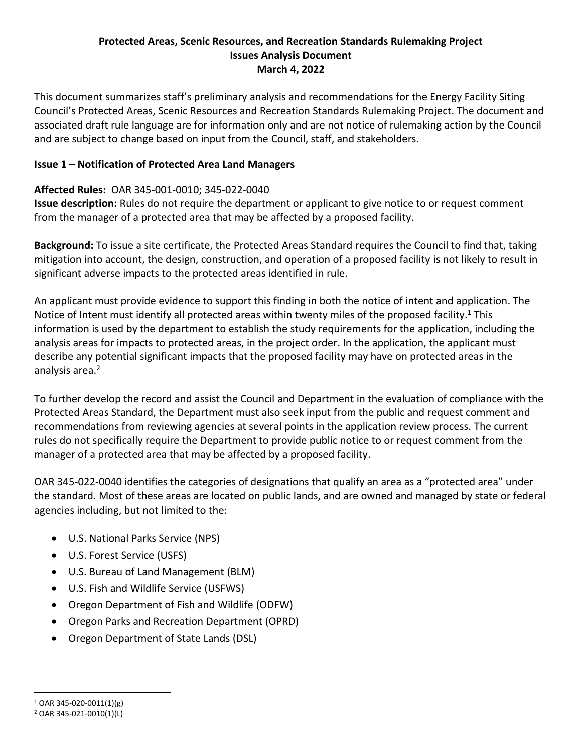#### **Protected Areas, Scenic Resources, and Recreation Standards Rulemaking Project Issues Analysis Document March 4, 2022**

This document summarizes staff's preliminary analysis and recommendations for the Energy Facility Siting Council's Protected Areas, Scenic Resources and Recreation Standards Rulemaking Project. The document and associated draft rule language are for information only and are not notice of rulemaking action by the Council and are subject to change based on input from the Council, staff, and stakeholders.

### **Issue 1 – Notification of Protected Area Land Managers**

## **Affected Rules:** OAR 345-001-0010; 345-022-0040

**Issue description:** Rules do not require the department or applicant to give notice to or request comment from the manager of a protected area that may be affected by a proposed facility.

**Background:** To issue a site certificate, the Protected Areas Standard requires the Council to find that, taking mitigation into account, the design, construction, and operation of a proposed facility is not likely to result in significant adverse impacts to the protected areas identified in rule.

An applicant must provide evidence to support this finding in both the notice of intent and application. The Notice of Intent must identify all protected areas within twenty miles of the proposed facility.<sup>1</sup> This information is used by the department to establish the study requirements for the application, including the analysis areas for impacts to protected areas, in the project order. In the application, the applicant must describe any potential significant impacts that the proposed facility may have on protected areas in the analysis area.<sup>2</sup>

To further develop the record and assist the Council and Department in the evaluation of compliance with the Protected Areas Standard, the Department must also seek input from the public and request comment and recommendations from reviewing agencies at several points in the application review process. The current rules do not specifically require the Department to provide public notice to or request comment from the manager of a protected area that may be affected by a proposed facility.

OAR 345-022-0040 identifies the categories of designations that qualify an area as a "protected area" under the standard. Most of these areas are located on public lands, and are owned and managed by state or federal agencies including, but not limited to the:

- U.S. National Parks Service (NPS)
- U.S. Forest Service (USFS)
- U.S. Bureau of Land Management (BLM)
- U.S. Fish and Wildlife Service (USFWS)
- Oregon Department of Fish and Wildlife (ODFW)
- Oregon Parks and Recreation Department (OPRD)
- Oregon Department of State Lands (DSL)

<sup>1</sup> OAR 345-020-0011(1)(g)

<sup>2</sup> OAR 345-021-0010(1)(L)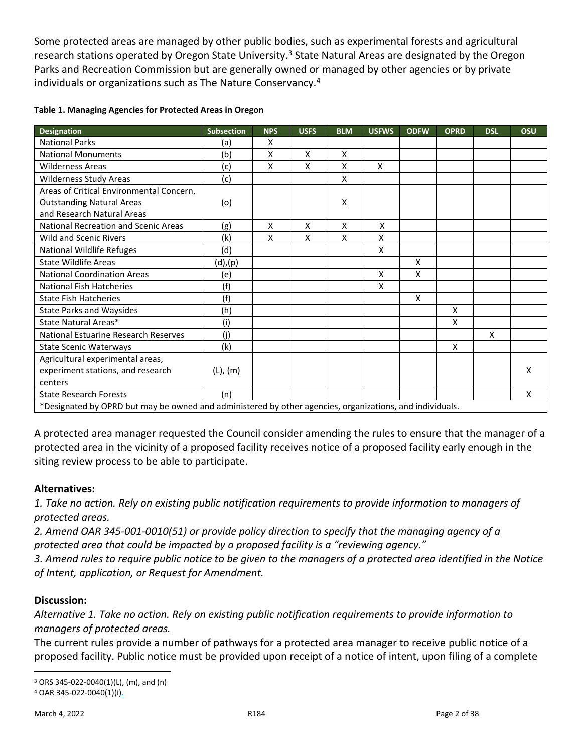Some protected areas are managed by other public bodies, such as experimental forests and agricultural research stations operated by Oregon State University.<sup>3</sup> State Natural Areas are designated by the Oregon Parks and Recreation Commission but are generally owned or managed by other agencies or by private individuals or organizations such as The Nature Conservancy.<sup>4</sup>

| <b>Designation</b>                                                                                       | <b>Subsection</b> | <b>NPS</b> | <b>USFS</b> | <b>BLM</b> | <b>USFWS</b> | <b>ODFW</b> | <b>OPRD</b> | <b>DSL</b> | OSU |
|----------------------------------------------------------------------------------------------------------|-------------------|------------|-------------|------------|--------------|-------------|-------------|------------|-----|
| <b>National Parks</b>                                                                                    | (a)               | x          |             |            |              |             |             |            |     |
| <b>National Monuments</b>                                                                                | (b)               | x          | X           | X          |              |             |             |            |     |
| <b>Wilderness Areas</b>                                                                                  | (c)               | x          | X           | x          | X            |             |             |            |     |
| Wilderness Study Areas                                                                                   | (c)               |            |             | Χ          |              |             |             |            |     |
| Areas of Critical Environmental Concern,                                                                 |                   |            |             |            |              |             |             |            |     |
| <b>Outstanding Natural Areas</b>                                                                         | (o)               |            |             | x          |              |             |             |            |     |
| and Research Natural Areas                                                                               |                   |            |             |            |              |             |             |            |     |
| <b>National Recreation and Scenic Areas</b>                                                              | (g)               | x          | X           | X          | X            |             |             |            |     |
| <b>Wild and Scenic Rivers</b>                                                                            | (k)               | x          | x           | x          | X            |             |             |            |     |
| <b>National Wildlife Refuges</b>                                                                         | (d)               |            |             |            | Χ            |             |             |            |     |
| State Wildlife Areas                                                                                     | (d),(p)           |            |             |            |              | X           |             |            |     |
| <b>National Coordination Areas</b>                                                                       | (e)               |            |             |            | X            | X           |             |            |     |
| <b>National Fish Hatcheries</b>                                                                          | (f)               |            |             |            | x            |             |             |            |     |
| <b>State Fish Hatcheries</b>                                                                             | (f)               |            |             |            |              | X           |             |            |     |
| <b>State Parks and Waysides</b>                                                                          | (h)               |            |             |            |              |             | x           |            |     |
| State Natural Areas*                                                                                     | (i)               |            |             |            |              |             | x           |            |     |
| National Estuarine Research Reserves                                                                     | (i)               |            |             |            |              |             |             | X          |     |
| <b>State Scenic Waterways</b>                                                                            | (k)               |            |             |            |              |             | x           |            |     |
| Agricultural experimental areas,                                                                         |                   |            |             |            |              |             |             |            |     |
| experiment stations, and research                                                                        | $(L)$ , $(m)$     |            |             |            |              |             |             |            | x   |
| centers                                                                                                  |                   |            |             |            |              |             |             |            |     |
| <b>State Research Forests</b>                                                                            | (n)               |            |             |            |              |             |             |            | X   |
| *Designated by OPRD but may be owned and administered by other agencies, organizations, and individuals. |                   |            |             |            |              |             |             |            |     |

#### **Table 1. Managing Agencies for Protected Areas in Oregon**

A protected area manager requested the Council consider amending the rules to ensure that the manager of a protected area in the vicinity of a proposed facility receives notice of a proposed facility early enough in the siting review process to be able to participate.

### **Alternatives:**

*1. Take no action. Rely on existing public notification requirements to provide information to managers of protected areas.*

*2. Amend OAR 345-001-0010(51) or provide policy direction to specify that the managing agency of a protected area that could be impacted by a proposed facility is a "reviewing agency."*

*3. Amend rules to require public notice to be given to the managers of a protected area identified in the Notice of Intent, application, or Request for Amendment.*

### **Discussion:**

*Alternative 1. Take no action. Rely on existing public notification requirements to provide information to managers of protected areas.*

The current rules provide a number of pathways for a protected area manager to receive public notice of a proposed facility. Public notice must be provided upon receipt of a notice of intent, upon filing of a complete

 $3$  ORS 345-022-0040(1)(L), (m), and (n)

<sup>4</sup> OAR 345-022-0040(1)(i).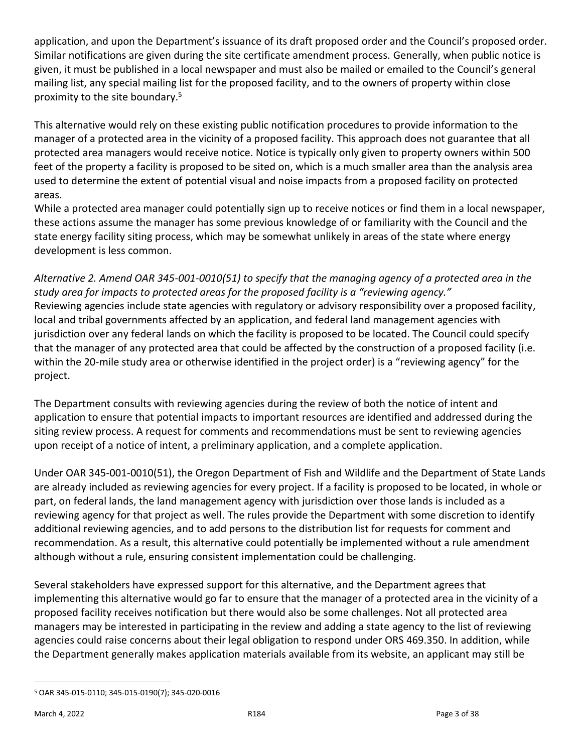application, and upon the Department's issuance of its draft proposed order and the Council's proposed order. Similar notifications are given during the site certificate amendment process. Generally, when public notice is given, it must be published in a local newspaper and must also be mailed or emailed to the Council's general mailing list, any special mailing list for the proposed facility, and to the owners of property within close proximity to the site boundary.<sup>5</sup>

This alternative would rely on these existing public notification procedures to provide information to the manager of a protected area in the vicinity of a proposed facility. This approach does not guarantee that all protected area managers would receive notice. Notice is typically only given to property owners within 500 feet of the property a facility is proposed to be sited on, which is a much smaller area than the analysis area used to determine the extent of potential visual and noise impacts from a proposed facility on protected areas.

While a protected area manager could potentially sign up to receive notices or find them in a local newspaper, these actions assume the manager has some previous knowledge of or familiarity with the Council and the state energy facility siting process, which may be somewhat unlikely in areas of the state where energy development is less common.

*Alternative 2. Amend OAR 345-001-0010(51) to specify that the managing agency of a protected area in the study area for impacts to protected areas for the proposed facility is a "reviewing agency."* Reviewing agencies include state agencies with regulatory or advisory responsibility over a proposed facility, local and tribal governments affected by an application, and federal land management agencies with jurisdiction over any federal lands on which the facility is proposed to be located. The Council could specify that the manager of any protected area that could be affected by the construction of a proposed facility (i.e. within the 20-mile study area or otherwise identified in the project order) is a "reviewing agency" for the project.

The Department consults with reviewing agencies during the review of both the notice of intent and application to ensure that potential impacts to important resources are identified and addressed during the siting review process. A request for comments and recommendations must be sent to reviewing agencies upon receipt of a notice of intent, a preliminary application, and a complete application.

Under OAR 345-001-0010(51), the Oregon Department of Fish and Wildlife and the Department of State Lands are already included as reviewing agencies for every project. If a facility is proposed to be located, in whole or part, on federal lands, the land management agency with jurisdiction over those lands is included as a reviewing agency for that project as well. The rules provide the Department with some discretion to identify additional reviewing agencies, and to add persons to the distribution list for requests for comment and recommendation. As a result, this alternative could potentially be implemented without a rule amendment although without a rule, ensuring consistent implementation could be challenging.

Several stakeholders have expressed support for this alternative, and the Department agrees that implementing this alternative would go far to ensure that the manager of a protected area in the vicinity of a proposed facility receives notification but there would also be some challenges. Not all protected area managers may be interested in participating in the review and adding a state agency to the list of reviewing agencies could raise concerns about their legal obligation to respond under ORS 469.350. In addition, while the Department generally makes application materials available from its website, an applicant may still be

<sup>5</sup> OAR 345-015-0110; 345-015-0190(7); 345-020-0016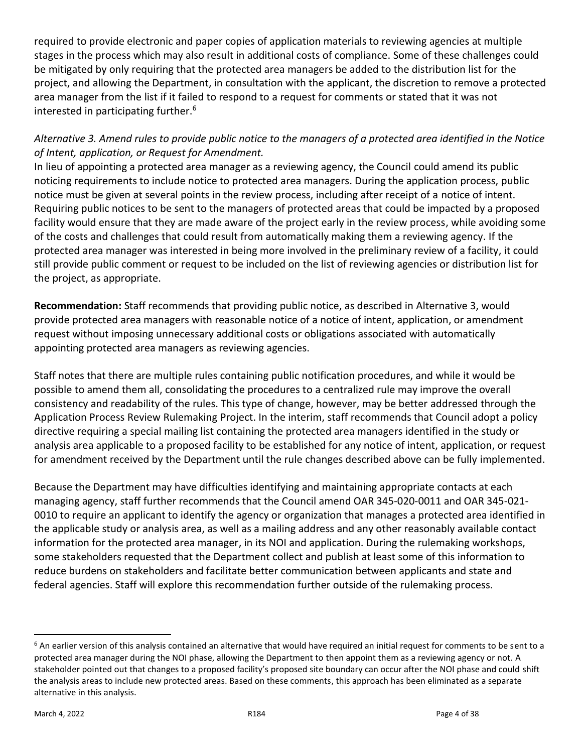required to provide electronic and paper copies of application materials to reviewing agencies at multiple stages in the process which may also result in additional costs of compliance. Some of these challenges could be mitigated by only requiring that the protected area managers be added to the distribution list for the project, and allowing the Department, in consultation with the applicant, the discretion to remove a protected area manager from the list if it failed to respond to a request for comments or stated that it was not interested in participating further.<sup>6</sup>

# *Alternative 3. Amend rules to provide public notice to the managers of a protected area identified in the Notice of Intent, application, or Request for Amendment.*

In lieu of appointing a protected area manager as a reviewing agency, the Council could amend its public noticing requirements to include notice to protected area managers. During the application process, public notice must be given at several points in the review process, including after receipt of a notice of intent. Requiring public notices to be sent to the managers of protected areas that could be impacted by a proposed facility would ensure that they are made aware of the project early in the review process, while avoiding some of the costs and challenges that could result from automatically making them a reviewing agency. If the protected area manager was interested in being more involved in the preliminary review of a facility, it could still provide public comment or request to be included on the list of reviewing agencies or distribution list for the project, as appropriate.

**Recommendation:** Staff recommends that providing public notice, as described in Alternative 3, would provide protected area managers with reasonable notice of a notice of intent, application, or amendment request without imposing unnecessary additional costs or obligations associated with automatically appointing protected area managers as reviewing agencies.

Staff notes that there are multiple rules containing public notification procedures, and while it would be possible to amend them all, consolidating the procedures to a centralized rule may improve the overall consistency and readability of the rules. This type of change, however, may be better addressed through the Application Process Review Rulemaking Project. In the interim, staff recommends that Council adopt a policy directive requiring a special mailing list containing the protected area managers identified in the study or analysis area applicable to a proposed facility to be established for any notice of intent, application, or request for amendment received by the Department until the rule changes described above can be fully implemented.

Because the Department may have difficulties identifying and maintaining appropriate contacts at each managing agency, staff further recommends that the Council amend OAR 345-020-0011 and OAR 345-021- 0010 to require an applicant to identify the agency or organization that manages a protected area identified in the applicable study or analysis area, as well as a mailing address and any other reasonably available contact information for the protected area manager, in its NOI and application. During the rulemaking workshops, some stakeholders requested that the Department collect and publish at least some of this information to reduce burdens on stakeholders and facilitate better communication between applicants and state and federal agencies. Staff will explore this recommendation further outside of the rulemaking process.

 $6$  An earlier version of this analysis contained an alternative that would have required an initial request for comments to be sent to a protected area manager during the NOI phase, allowing the Department to then appoint them as a reviewing agency or not. A stakeholder pointed out that changes to a proposed facility's proposed site boundary can occur after the NOI phase and could shift the analysis areas to include new protected areas. Based on these comments, this approach has been eliminated as a separate alternative in this analysis.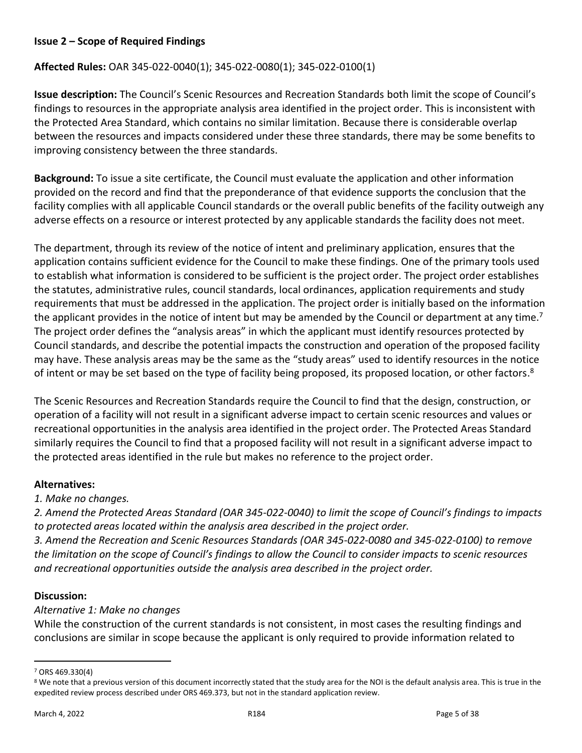#### **Issue 2 – Scope of Required Findings**

#### **Affected Rules:** OAR 345-022-0040(1); 345-022-0080(1); 345-022-0100(1)

**Issue description:** The Council's Scenic Resources and Recreation Standards both limit the scope of Council's findings to resources in the appropriate analysis area identified in the project order. This is inconsistent with the Protected Area Standard, which contains no similar limitation. Because there is considerable overlap between the resources and impacts considered under these three standards, there may be some benefits to improving consistency between the three standards.

**Background:** To issue a site certificate, the Council must evaluate the application and other information provided on the record and find that the preponderance of that evidence supports the conclusion that the facility complies with all applicable Council standards or the overall public benefits of the facility outweigh any adverse effects on a resource or interest protected by any applicable standards the facility does not meet.

The department, through its review of the notice of intent and preliminary application, ensures that the application contains sufficient evidence for the Council to make these findings. One of the primary tools used to establish what information is considered to be sufficient is the project order. The project order establishes the statutes, administrative rules, council standards, local ordinances, application requirements and study requirements that must be addressed in the application. The project order is initially based on the information the applicant provides in the notice of intent but may be amended by the Council or department at any time.<sup>7</sup> The project order defines the "analysis areas" in which the applicant must identify resources protected by Council standards, and describe the potential impacts the construction and operation of the proposed facility may have. These analysis areas may be the same as the "study areas" used to identify resources in the notice of intent or may be set based on the type of facility being proposed, its proposed location, or other factors.<sup>8</sup>

The Scenic Resources and Recreation Standards require the Council to find that the design, construction, or operation of a facility will not result in a significant adverse impact to certain scenic resources and values or recreational opportunities in the analysis area identified in the project order. The Protected Areas Standard similarly requires the Council to find that a proposed facility will not result in a significant adverse impact to the protected areas identified in the rule but makes no reference to the project order.

#### **Alternatives:**

### *1. Make no changes.*

*2. Amend the Protected Areas Standard (OAR 345-022-0040) to limit the scope of Council's findings to impacts to protected areas located within the analysis area described in the project order.*

*3. Amend the Recreation and Scenic Resources Standards (OAR 345-022-0080 and 345-022-0100) to remove the limitation on the scope of Council's findings to allow the Council to consider impacts to scenic resources and recreational opportunities outside the analysis area described in the project order.*

#### **Discussion:**

### *Alternative 1: Make no changes*

While the construction of the current standards is not consistent, in most cases the resulting findings and conclusions are similar in scope because the applicant is only required to provide information related to

<sup>7</sup> ORS 469.330(4)

<sup>&</sup>lt;sup>8</sup> We note that a previous version of this document incorrectly stated that the study area for the NOI is the default analysis area. This is true in the expedited review process described under ORS 469.373, but not in the standard application review.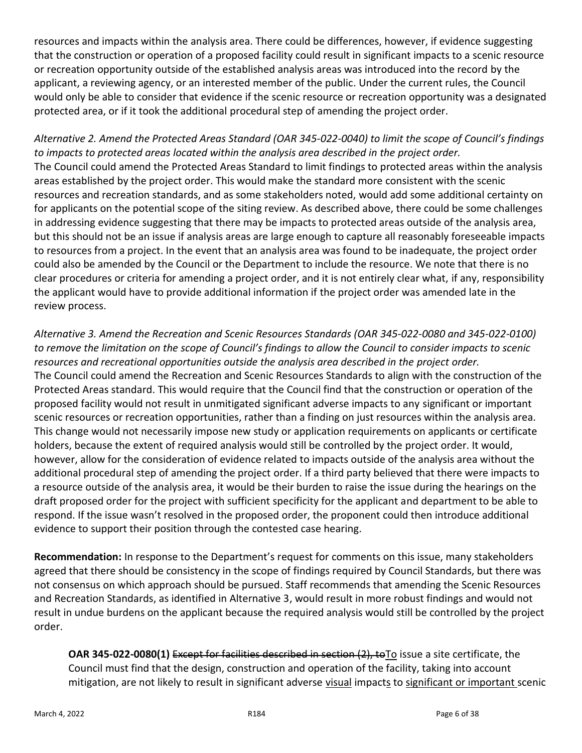resources and impacts within the analysis area. There could be differences, however, if evidence suggesting that the construction or operation of a proposed facility could result in significant impacts to a scenic resource or recreation opportunity outside of the established analysis areas was introduced into the record by the applicant, a reviewing agency, or an interested member of the public. Under the current rules, the Council would only be able to consider that evidence if the scenic resource or recreation opportunity was a designated protected area, or if it took the additional procedural step of amending the project order.

*Alternative 2. Amend the Protected Areas Standard (OAR 345-022-0040) to limit the scope of Council's findings to impacts to protected areas located within the analysis area described in the project order.* The Council could amend the Protected Areas Standard to limit findings to protected areas within the analysis areas established by the project order. This would make the standard more consistent with the scenic resources and recreation standards, and as some stakeholders noted, would add some additional certainty on for applicants on the potential scope of the siting review. As described above, there could be some challenges in addressing evidence suggesting that there may be impacts to protected areas outside of the analysis area, but this should not be an issue if analysis areas are large enough to capture all reasonably foreseeable impacts to resources from a project. In the event that an analysis area was found to be inadequate, the project order could also be amended by the Council or the Department to include the resource. We note that there is no clear procedures or criteria for amending a project order, and it is not entirely clear what, if any, responsibility the applicant would have to provide additional information if the project order was amended late in the review process.

*Alternative 3. Amend the Recreation and Scenic Resources Standards (OAR 345-022-0080 and 345-022-0100) to remove the limitation on the scope of Council's findings to allow the Council to consider impacts to scenic resources and recreational opportunities outside the analysis area described in the project order.* The Council could amend the Recreation and Scenic Resources Standards to align with the construction of the Protected Areas standard. This would require that the Council find that the construction or operation of the proposed facility would not result in unmitigated significant adverse impacts to any significant or important scenic resources or recreation opportunities, rather than a finding on just resources within the analysis area. This change would not necessarily impose new study or application requirements on applicants or certificate holders, because the extent of required analysis would still be controlled by the project order. It would, however, allow for the consideration of evidence related to impacts outside of the analysis area without the additional procedural step of amending the project order. If a third party believed that there were impacts to a resource outside of the analysis area, it would be their burden to raise the issue during the hearings on the draft proposed order for the project with sufficient specificity for the applicant and department to be able to respond. If the issue wasn't resolved in the proposed order, the proponent could then introduce additional evidence to support their position through the contested case hearing.

**Recommendation:** In response to the Department's request for comments on this issue, many stakeholders agreed that there should be consistency in the scope of findings required by Council Standards, but there was not consensus on which approach should be pursued. Staff recommends that amending the Scenic Resources and Recreation Standards, as identified in Alternative 3, would result in more robust findings and would not result in undue burdens on the applicant because the required analysis would still be controlled by the project order.

**OAR 345-022-0080(1)** Except for facilities described in section (2), toTo issue a site certificate, the Council must find that the design, construction and operation of the facility, taking into account mitigation, are not likely to result in significant adverse visual impacts to significant or important scenic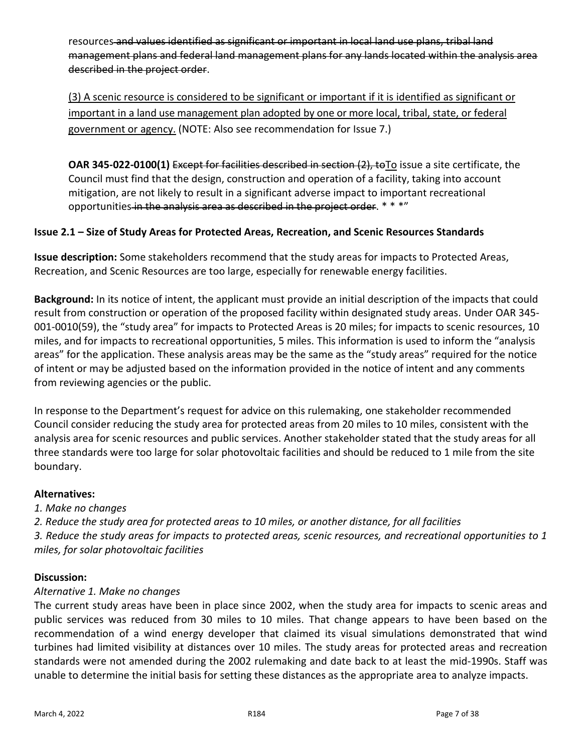resources and values identified as significant or important in local land use plans, tribal land management plans and federal land management plans for any lands located within the analysis area described in the project order.

(3) A scenic resource is considered to be significant or important if it is identified as significant or important in a land use management plan adopted by one or more local, tribal, state, or federal government or agency. (NOTE: Also see recommendation for Issue 7.)

**OAR 345-022-0100(1)** Except for facilities described in section (2), to To issue a site certificate, the Council must find that the design, construction and operation of a facility, taking into account mitigation, are not likely to result in a significant adverse impact to important recreational opportunities in the analysis area as described in the project order. \* \* \*"

## **Issue 2.1 – Size of Study Areas for Protected Areas, Recreation, and Scenic Resources Standards**

**Issue description:** Some stakeholders recommend that the study areas for impacts to Protected Areas, Recreation, and Scenic Resources are too large, especially for renewable energy facilities.

**Background:** In its notice of intent, the applicant must provide an initial description of the impacts that could result from construction or operation of the proposed facility within designated study areas. Under OAR 345- 001-0010(59), the "study area" for impacts to Protected Areas is 20 miles; for impacts to scenic resources, 10 miles, and for impacts to recreational opportunities, 5 miles. This information is used to inform the "analysis areas" for the application. These analysis areas may be the same as the "study areas" required for the notice of intent or may be adjusted based on the information provided in the notice of intent and any comments from reviewing agencies or the public.

In response to the Department's request for advice on this rulemaking, one stakeholder recommended Council consider reducing the study area for protected areas from 20 miles to 10 miles, consistent with the analysis area for scenic resources and public services. Another stakeholder stated that the study areas for all three standards were too large for solar photovoltaic facilities and should be reduced to 1 mile from the site boundary.

### **Alternatives:**

*1. Make no changes*

*2. Reduce the study area for protected areas to 10 miles, or another distance, for all facilities 3. Reduce the study areas for impacts to protected areas, scenic resources, and recreational opportunities to 1 miles, for solar photovoltaic facilities*

### **Discussion:**

### *Alternative 1. Make no changes*

The current study areas have been in place since 2002, when the study area for impacts to scenic areas and public services was reduced from 30 miles to 10 miles. That change appears to have been based on the recommendation of a wind energy developer that claimed its visual simulations demonstrated that wind turbines had limited visibility at distances over 10 miles. The study areas for protected areas and recreation standards were not amended during the 2002 rulemaking and date back to at least the mid-1990s. Staff was unable to determine the initial basis for setting these distances as the appropriate area to analyze impacts.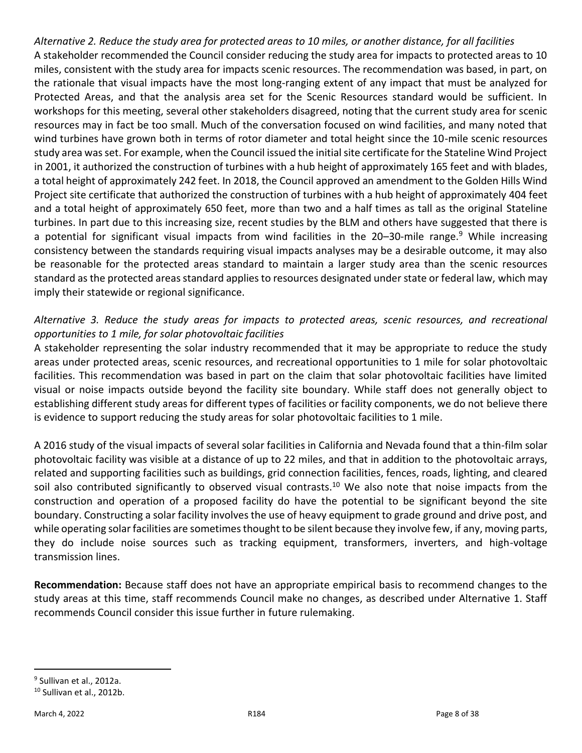*Alternative 2. Reduce the study area for protected areas to 10 miles, or another distance, for all facilities* A stakeholder recommended the Council consider reducing the study area for impacts to protected areas to 10 miles, consistent with the study area for impacts scenic resources. The recommendation was based, in part, on the rationale that visual impacts have the most long-ranging extent of any impact that must be analyzed for Protected Areas, and that the analysis area set for the Scenic Resources standard would be sufficient. In workshops for this meeting, several other stakeholders disagreed, noting that the current study area for scenic resources may in fact be too small. Much of the conversation focused on wind facilities, and many noted that wind turbines have grown both in terms of rotor diameter and total height since the 10-mile scenic resources study area was set. For example, when the Council issued the initial site certificate for the Stateline Wind Project in 2001, it authorized the construction of turbines with a hub height of approximately 165 feet and with blades, a total height of approximately 242 feet. In 2018, the Council approved an amendment to the Golden Hills Wind Project site certificate that authorized the construction of turbines with a hub height of approximately 404 feet and a total height of approximately 650 feet, more than two and a half times as tall as the original Stateline turbines. In part due to this increasing size, recent studies by the BLM and others have suggested that there is a potential for significant visual impacts from wind facilities in the 20-30-mile range.<sup>9</sup> While increasing consistency between the standards requiring visual impacts analyses may be a desirable outcome, it may also be reasonable for the protected areas standard to maintain a larger study area than the scenic resources standard as the protected areas standard applies to resources designated under state or federal law, which may imply their statewide or regional significance.

## *Alternative 3. Reduce the study areas for impacts to protected areas, scenic resources, and recreational opportunities to 1 mile, for solar photovoltaic facilities*

A stakeholder representing the solar industry recommended that it may be appropriate to reduce the study areas under protected areas, scenic resources, and recreational opportunities to 1 mile for solar photovoltaic facilities. This recommendation was based in part on the claim that solar photovoltaic facilities have limited visual or noise impacts outside beyond the facility site boundary. While staff does not generally object to establishing different study areas for different types of facilities or facility components, we do not believe there is evidence to support reducing the study areas for solar photovoltaic facilities to 1 mile.

A 2016 study of the visual impacts of several solar facilities in California and Nevada found that a thin-film solar photovoltaic facility was visible at a distance of up to 22 miles, and that in addition to the photovoltaic arrays, related and supporting facilities such as buildings, grid connection facilities, fences, roads, lighting, and cleared soil also contributed significantly to observed visual contrasts.<sup>10</sup> We also note that noise impacts from the construction and operation of a proposed facility do have the potential to be significant beyond the site boundary. Constructing a solar facility involves the use of heavy equipment to grade ground and drive post, and while operating solar facilities are sometimes thought to be silent because they involve few, if any, moving parts, they do include noise sources such as tracking equipment, transformers, inverters, and high-voltage transmission lines.

**Recommendation:** Because staff does not have an appropriate empirical basis to recommend changes to the study areas at this time, staff recommends Council make no changes, as described under Alternative 1. Staff recommends Council consider this issue further in future rulemaking.

<sup>&</sup>lt;sup>9</sup> Sullivan et al., 2012a.

<sup>&</sup>lt;sup>10</sup> Sullivan et al., 2012b.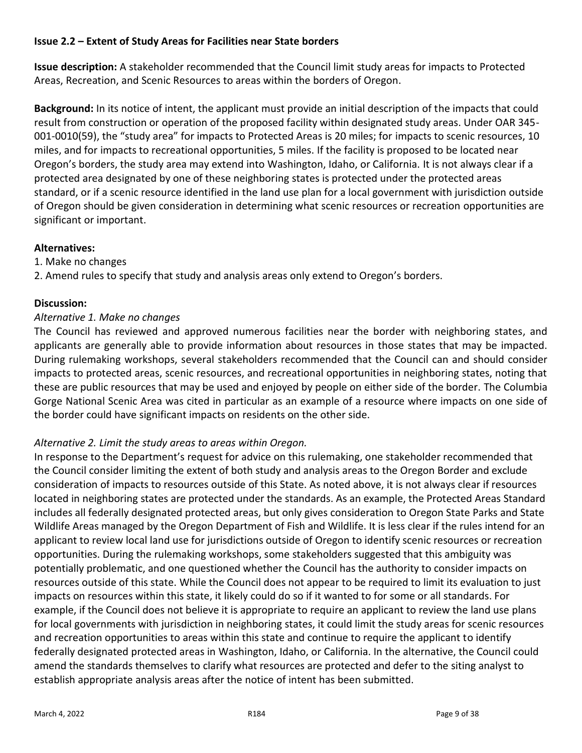### **Issue 2.2 – Extent of Study Areas for Facilities near State borders**

**Issue description:** A stakeholder recommended that the Council limit study areas for impacts to Protected Areas, Recreation, and Scenic Resources to areas within the borders of Oregon.

**Background:** In its notice of intent, the applicant must provide an initial description of the impacts that could result from construction or operation of the proposed facility within designated study areas. Under OAR 345- 001-0010(59), the "study area" for impacts to Protected Areas is 20 miles; for impacts to scenic resources, 10 miles, and for impacts to recreational opportunities, 5 miles. If the facility is proposed to be located near Oregon's borders, the study area may extend into Washington, Idaho, or California. It is not always clear if a protected area designated by one of these neighboring states is protected under the protected areas standard, or if a scenic resource identified in the land use plan for a local government with jurisdiction outside of Oregon should be given consideration in determining what scenic resources or recreation opportunities are significant or important.

#### **Alternatives:**

1. Make no changes

2. Amend rules to specify that study and analysis areas only extend to Oregon's borders.

#### **Discussion:**

#### *Alternative 1. Make no changes*

The Council has reviewed and approved numerous facilities near the border with neighboring states, and applicants are generally able to provide information about resources in those states that may be impacted. During rulemaking workshops, several stakeholders recommended that the Council can and should consider impacts to protected areas, scenic resources, and recreational opportunities in neighboring states, noting that these are public resources that may be used and enjoyed by people on either side of the border. The Columbia Gorge National Scenic Area was cited in particular as an example of a resource where impacts on one side of the border could have significant impacts on residents on the other side.

### *Alternative 2. Limit the study areas to areas within Oregon.*

In response to the Department's request for advice on this rulemaking, one stakeholder recommended that the Council consider limiting the extent of both study and analysis areas to the Oregon Border and exclude consideration of impacts to resources outside of this State. As noted above, it is not always clear if resources located in neighboring states are protected under the standards. As an example, the Protected Areas Standard includes all federally designated protected areas, but only gives consideration to Oregon State Parks and State Wildlife Areas managed by the Oregon Department of Fish and Wildlife. It is less clear if the rules intend for an applicant to review local land use for jurisdictions outside of Oregon to identify scenic resources or recreation opportunities. During the rulemaking workshops, some stakeholders suggested that this ambiguity was potentially problematic, and one questioned whether the Council has the authority to consider impacts on resources outside of this state. While the Council does not appear to be required to limit its evaluation to just impacts on resources within this state, it likely could do so if it wanted to for some or all standards. For example, if the Council does not believe it is appropriate to require an applicant to review the land use plans for local governments with jurisdiction in neighboring states, it could limit the study areas for scenic resources and recreation opportunities to areas within this state and continue to require the applicant to identify federally designated protected areas in Washington, Idaho, or California. In the alternative, the Council could amend the standards themselves to clarify what resources are protected and defer to the siting analyst to establish appropriate analysis areas after the notice of intent has been submitted.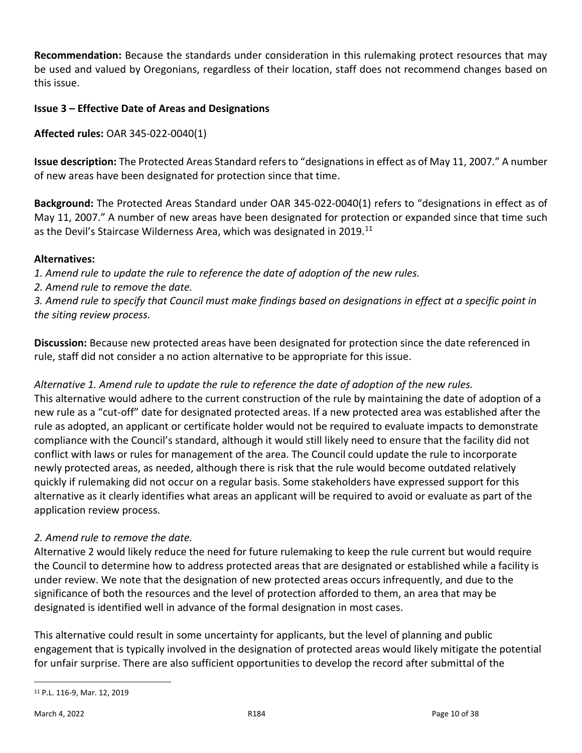**Recommendation:** Because the standards under consideration in this rulemaking protect resources that may be used and valued by Oregonians, regardless of their location, staff does not recommend changes based on this issue.

### **Issue 3 – Effective Date of Areas and Designations**

**Affected rules:** OAR 345-022-0040(1)

**Issue description:** The Protected Areas Standard refers to "designations in effect as of May 11, 2007." A number of new areas have been designated for protection since that time.

**Background:** The Protected Areas Standard under OAR 345-022-0040(1) refers to "designations in effect as of May 11, 2007." A number of new areas have been designated for protection or expanded since that time such as the Devil's Staircase Wilderness Area, which was designated in 2019.<sup>11</sup>

### **Alternatives:**

*1. Amend rule to update the rule to reference the date of adoption of the new rules.*

*2. Amend rule to remove the date.*

*3. Amend rule to specify that Council must make findings based on designations in effect at a specific point in the siting review process.*

**Discussion:** Because new protected areas have been designated for protection since the date referenced in rule, staff did not consider a no action alternative to be appropriate for this issue.

### *Alternative 1. Amend rule to update the rule to reference the date of adoption of the new rules.*

This alternative would adhere to the current construction of the rule by maintaining the date of adoption of a new rule as a "cut-off" date for designated protected areas. If a new protected area was established after the rule as adopted, an applicant or certificate holder would not be required to evaluate impacts to demonstrate compliance with the Council's standard, although it would still likely need to ensure that the facility did not conflict with laws or rules for management of the area. The Council could update the rule to incorporate newly protected areas, as needed, although there is risk that the rule would become outdated relatively quickly if rulemaking did not occur on a regular basis. Some stakeholders have expressed support for this alternative as it clearly identifies what areas an applicant will be required to avoid or evaluate as part of the application review process.

### *2. Amend rule to remove the date.*

Alternative 2 would likely reduce the need for future rulemaking to keep the rule current but would require the Council to determine how to address protected areas that are designated or established while a facility is under review. We note that the designation of new protected areas occurs infrequently, and due to the significance of both the resources and the level of protection afforded to them, an area that may be designated is identified well in advance of the formal designation in most cases.

This alternative could result in some uncertainty for applicants, but the level of planning and public engagement that is typically involved in the designation of protected areas would likely mitigate the potential for unfair surprise. There are also sufficient opportunities to develop the record after submittal of the

<sup>11</sup> P.L. 116-9, Mar. 12, 2019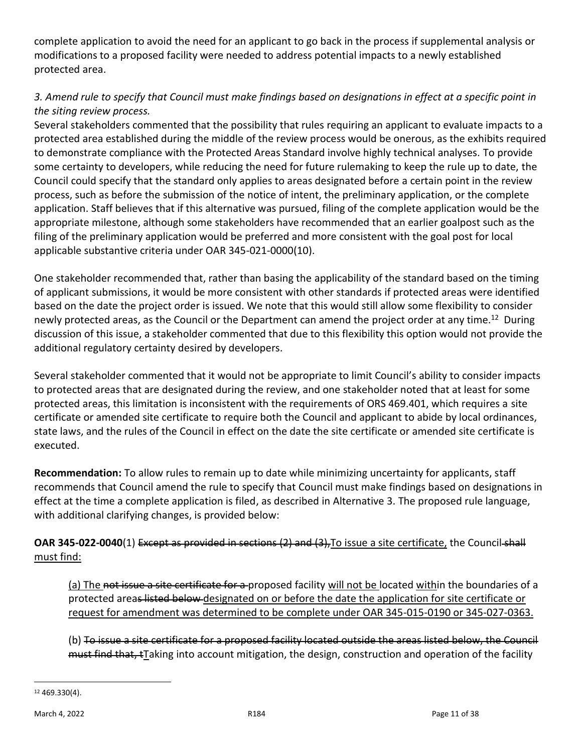complete application to avoid the need for an applicant to go back in the process if supplemental analysis or modifications to a proposed facility were needed to address potential impacts to a newly established protected area.

# *3. Amend rule to specify that Council must make findings based on designations in effect at a specific point in the siting review process.*

Several stakeholders commented that the possibility that rules requiring an applicant to evaluate impacts to a protected area established during the middle of the review process would be onerous, as the exhibits required to demonstrate compliance with the Protected Areas Standard involve highly technical analyses. To provide some certainty to developers, while reducing the need for future rulemaking to keep the rule up to date, the Council could specify that the standard only applies to areas designated before a certain point in the review process, such as before the submission of the notice of intent, the preliminary application, or the complete application. Staff believes that if this alternative was pursued, filing of the complete application would be the appropriate milestone, although some stakeholders have recommended that an earlier goalpost such as the filing of the preliminary application would be preferred and more consistent with the goal post for local applicable substantive criteria under OAR 345-021-0000(10).

One stakeholder recommended that, rather than basing the applicability of the standard based on the timing of applicant submissions, it would be more consistent with other standards if protected areas were identified based on the date the project order is issued. We note that this would still allow some flexibility to consider newly protected areas, as the Council or the Department can amend the project order at any time.<sup>12</sup> During discussion of this issue, a stakeholder commented that due to this flexibility this option would not provide the additional regulatory certainty desired by developers.

Several stakeholder commented that it would not be appropriate to limit Council's ability to consider impacts to protected areas that are designated during the review, and one stakeholder noted that at least for some protected areas, this limitation is inconsistent with the requirements of ORS 469.401, which requires a site certificate or amended site certificate to require both the Council and applicant to abide by local ordinances, state laws, and the rules of the Council in effect on the date the site certificate or amended site certificate is executed.

**Recommendation:** To allow rules to remain up to date while minimizing uncertainty for applicants, staff recommends that Council amend the rule to specify that Council must make findings based on designations in effect at the time a complete application is filed, as described in Alternative 3. The proposed rule language, with additional clarifying changes, is provided below:

## **OAR 345-022-0040**(1) Except as provided in sections (2) and (3), To issue a site certificate, the Council-shall must find:

(a) The not issue a site certificate for a proposed facility will not be located within the boundaries of a protected areas listed below designated on or before the date the application for site certificate or request for amendment was determined to be complete under OAR 345-015-0190 or 345-027-0363.

(b) To issue a site certificate for a proposed facility located outside the areas listed below, the Council must find that, tTaking into account mitigation, the design, construction and operation of the facility

<sup>12</sup> 469.330(4).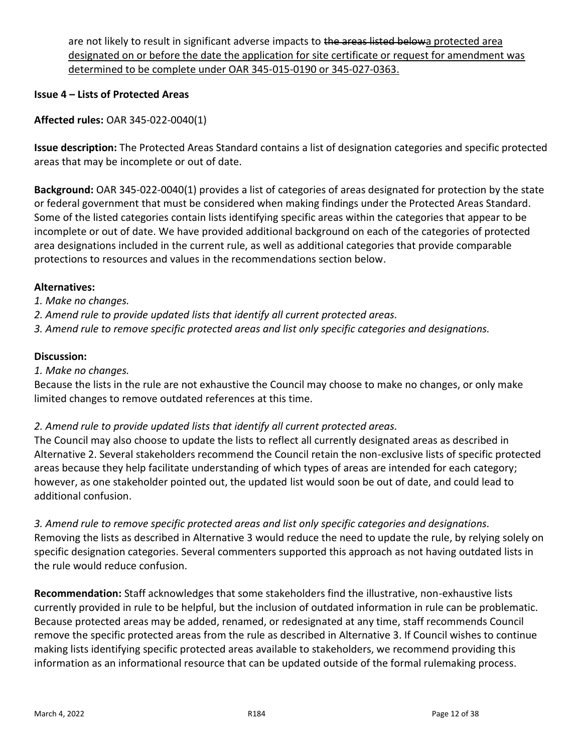are not likely to result in significant adverse impacts to the areas listed belowa protected area designated on or before the date the application for site certificate or request for amendment was determined to be complete under OAR 345-015-0190 or 345-027-0363.

#### **Issue 4 – Lists of Protected Areas**

**Affected rules:** OAR 345-022-0040(1)

**Issue description:** The Protected Areas Standard contains a list of designation categories and specific protected areas that may be incomplete or out of date.

**Background:** OAR 345-022-0040(1) provides a list of categories of areas designated for protection by the state or federal government that must be considered when making findings under the Protected Areas Standard. Some of the listed categories contain lists identifying specific areas within the categories that appear to be incomplete or out of date. We have provided additional background on each of the categories of protected area designations included in the current rule, as well as additional categories that provide comparable protections to resources and values in the recommendations section below.

#### **Alternatives:**

*1. Make no changes.*

*2. Amend rule to provide updated lists that identify all current protected areas.*

*3. Amend rule to remove specific protected areas and list only specific categories and designations.*

#### **Discussion:**

*1. Make no changes.*

Because the lists in the rule are not exhaustive the Council may choose to make no changes, or only make limited changes to remove outdated references at this time.

### *2. Amend rule to provide updated lists that identify all current protected areas.*

The Council may also choose to update the lists to reflect all currently designated areas as described in Alternative 2. Several stakeholders recommend the Council retain the non-exclusive lists of specific protected areas because they help facilitate understanding of which types of areas are intended for each category; however, as one stakeholder pointed out, the updated list would soon be out of date, and could lead to additional confusion.

*3. Amend rule to remove specific protected areas and list only specific categories and designations.* Removing the lists as described in Alternative 3 would reduce the need to update the rule, by relying solely on specific designation categories. Several commenters supported this approach as not having outdated lists in the rule would reduce confusion.

**Recommendation:** Staff acknowledges that some stakeholders find the illustrative, non-exhaustive lists currently provided in rule to be helpful, but the inclusion of outdated information in rule can be problematic. Because protected areas may be added, renamed, or redesignated at any time, staff recommends Council remove the specific protected areas from the rule as described in Alternative 3. If Council wishes to continue making lists identifying specific protected areas available to stakeholders, we recommend providing this information as an informational resource that can be updated outside of the formal rulemaking process.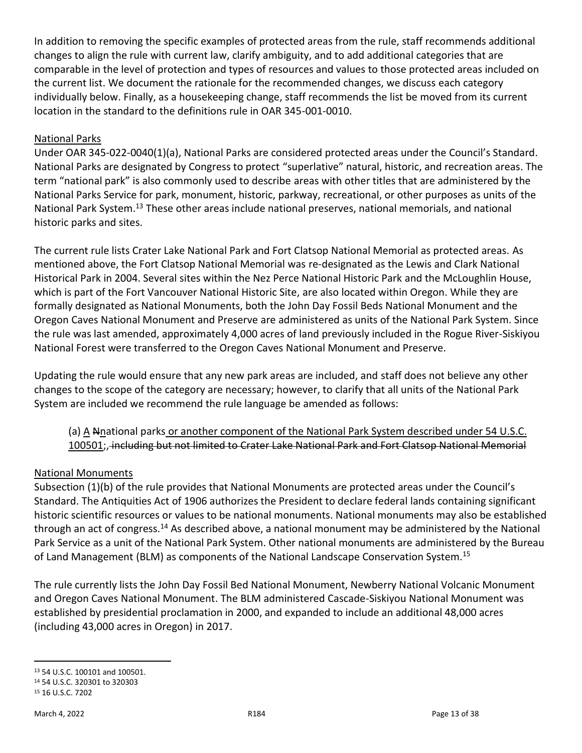In addition to removing the specific examples of protected areas from the rule, staff recommends additional changes to align the rule with current law, clarify ambiguity, and to add additional categories that are comparable in the level of protection and types of resources and values to those protected areas included on the current list. We document the rationale for the recommended changes, we discuss each category individually below. Finally, as a housekeeping change, staff recommends the list be moved from its current location in the standard to the definitions rule in OAR 345-001-0010.

## National Parks

Under OAR 345-022-0040(1)(a), National Parks are considered protected areas under the Council's Standard. National Parks are designated by Congress to protect "superlative" natural, historic, and recreation areas. The term "national park" is also commonly used to describe areas with other titles that are administered by the National Parks Service for park, monument, historic, parkway, recreational, or other purposes as units of the National Park System.<sup>13</sup> These other areas include national preserves, national memorials, and national historic parks and sites.

The current rule lists Crater Lake National Park and Fort Clatsop National Memorial as protected areas. As mentioned above, the Fort Clatsop National Memorial was re-designated as the Lewis and Clark National Historical Park in 2004. Several sites within the Nez Perce National Historic Park and the McLoughlin House, which is part of the Fort Vancouver National Historic Site, are also located within Oregon. While they are formally designated as National Monuments, both the John Day Fossil Beds National Monument and the Oregon Caves National Monument and Preserve are administered as units of the National Park System. Since the rule was last amended, approximately 4,000 acres of land previously included in the Rogue River-Siskiyou National Forest were transferred to the Oregon Caves National Monument and Preserve.

Updating the rule would ensure that any new park areas are included, and staff does not believe any other changes to the scope of the category are necessary; however, to clarify that all units of the National Park System are included we recommend the rule language be amended as follows:

### (a) A Nnational parks or another component of the National Park System described under 54 U.S.C. 100501;, including but not limited to Crater Lake National Park and Fort Clatsop National Memorial

### National Monuments

Subsection (1)(b) of the rule provides that National Monuments are protected areas under the Council's Standard. The Antiquities Act of 1906 authorizes the President to declare federal lands containing significant historic scientific resources or values to be national monuments. National monuments may also be established through an act of congress.<sup>14</sup> As described above, a national monument may be administered by the National Park Service as a unit of the National Park System. Other national monuments are administered by the Bureau of Land Management (BLM) as components of the National Landscape Conservation System.<sup>15</sup>

The rule currently lists the John Day Fossil Bed National Monument, Newberry National Volcanic Monument and Oregon Caves National Monument. The BLM administered Cascade-Siskiyou National Monument was established by presidential proclamation in 2000, and expanded to include an additional 48,000 acres (including 43,000 acres in Oregon) in 2017.

<sup>13</sup> 54 U.S.C. 100101 and 100501.

<sup>14</sup> 54 U.S.C. 320301 to 320303 <sup>15</sup> 16 U.S.C. 7202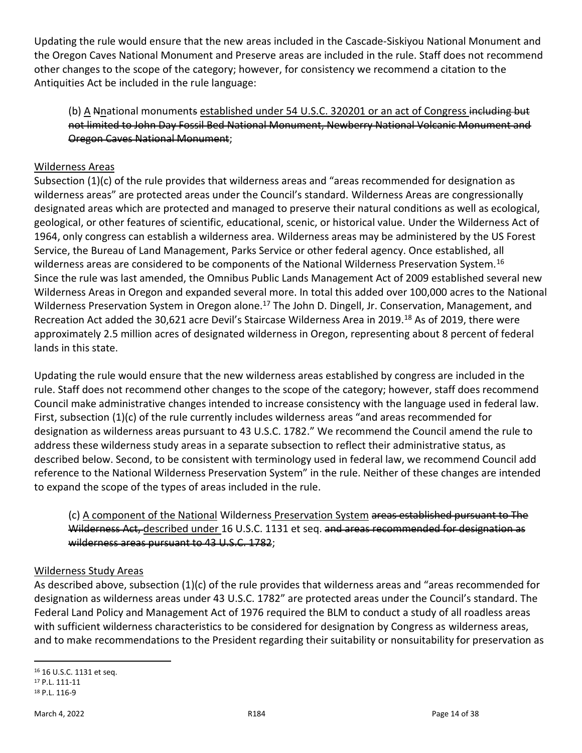Updating the rule would ensure that the new areas included in the Cascade-Siskiyou National Monument and the Oregon Caves National Monument and Preserve areas are included in the rule. Staff does not recommend other changes to the scope of the category; however, for consistency we recommend a citation to the Antiquities Act be included in the rule language:

(b) A Nnational monuments established under 54 U.S.C. 320201 or an act of Congress including but not limited to John Day Fossil Bed National Monument, Newberry National Volcanic Monument and Oregon Caves National Monument;

### Wilderness Areas

Subsection (1)(c) of the rule provides that wilderness areas and "areas recommended for designation as wilderness areas" are protected areas under the Council's standard. Wilderness Areas are congressionally designated areas which are protected and managed to preserve their natural conditions as well as ecological, geological, or other features of scientific, educational, scenic, or historical value. Under the Wilderness Act of 1964, only congress can establish a wilderness area. Wilderness areas may be administered by the US Forest Service, the Bureau of Land Management, Parks Service or other federal agency. Once established, all wilderness areas are considered to be components of the National Wilderness Preservation System.<sup>16</sup> Since the rule was last amended, the Omnibus Public Lands Management Act of 2009 established several new Wilderness Areas in Oregon and expanded several more. In total this added over 100,000 acres to the National Wilderness Preservation System in Oregon alone.<sup>17</sup> The John D. Dingell, Jr. Conservation, Management, and Recreation Act added the 30,621 acre Devil's Staircase Wilderness Area in 2019.<sup>18</sup> As of 2019, there were approximately 2.5 million acres of designated wilderness in Oregon, representing about 8 percent of federal lands in this state.

Updating the rule would ensure that the new wilderness areas established by congress are included in the rule. Staff does not recommend other changes to the scope of the category; however, staff does recommend Council make administrative changes intended to increase consistency with the language used in federal law. First, subsection (1)(c) of the rule currently includes wilderness areas "and areas recommended for designation as wilderness areas pursuant to 43 U.S.C. 1782." We recommend the Council amend the rule to address these wilderness study areas in a separate subsection to reflect their administrative status, as described below. Second, to be consistent with terminology used in federal law, we recommend Council add reference to the National Wilderness Preservation System" in the rule. Neither of these changes are intended to expand the scope of the types of areas included in the rule.

### (c) A component of the National Wilderness Preservation System areas established pursuant to The Wilderness Act, described under 16 U.S.C. 1131 et seq. and areas recommended for designation as wilderness areas pursuant to 43 U.S.C. 1782;

### Wilderness Study Areas

As described above, subsection (1)(c) of the rule provides that wilderness areas and "areas recommended for designation as wilderness areas under 43 U.S.C. 1782" are protected areas under the Council's standard. The Federal Land Policy and Management Act of 1976 required the BLM to conduct a study of all roadless areas with sufficient wilderness characteristics to be considered for designation by Congress as wilderness areas, and to make recommendations to the President regarding their suitability or nonsuitability for preservation as

<sup>16</sup> 16 U.S.C. 1131 et seq. <sup>17</sup> P.L. 111-11 <sup>18</sup> P.L. 116-9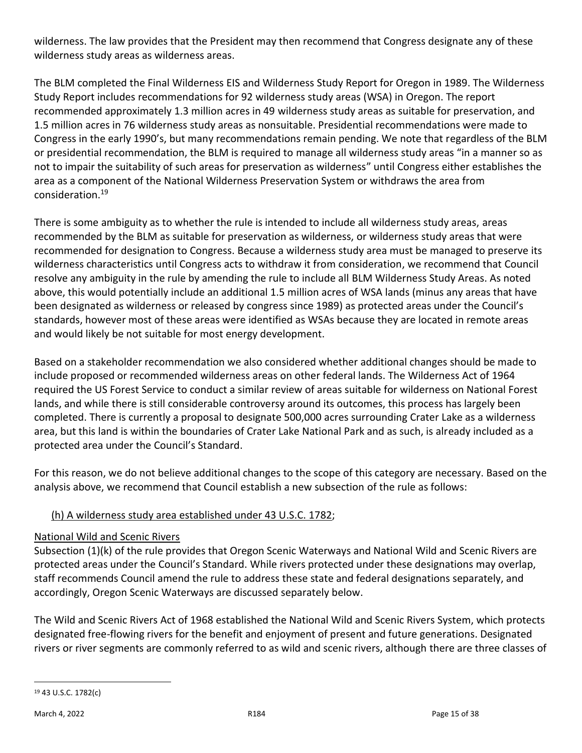wilderness. The law provides that the President may then recommend that Congress designate any of these wilderness study areas as wilderness areas.

The BLM completed the Final Wilderness EIS and Wilderness Study Report for Oregon in 1989. The Wilderness Study Report includes recommendations for 92 wilderness study areas (WSA) in Oregon. The report recommended approximately 1.3 million acres in 49 wilderness study areas as suitable for preservation, and 1.5 million acres in 76 wilderness study areas as nonsuitable. Presidential recommendations were made to Congress in the early 1990's, but many recommendations remain pending. We note that regardless of the BLM or presidential recommendation, the BLM is required to manage all wilderness study areas "in a manner so as not to impair the suitability of such areas for preservation as wilderness" until Congress either establishes the area as a component of the National Wilderness Preservation System or withdraws the area from consideration.<sup>19</sup>

There is some ambiguity as to whether the rule is intended to include all wilderness study areas, areas recommended by the BLM as suitable for preservation as wilderness, or wilderness study areas that were recommended for designation to Congress. Because a wilderness study area must be managed to preserve its wilderness characteristics until Congress acts to withdraw it from consideration, we recommend that Council resolve any ambiguity in the rule by amending the rule to include all BLM Wilderness Study Areas. As noted above, this would potentially include an additional 1.5 million acres of WSA lands (minus any areas that have been designated as wilderness or released by congress since 1989) as protected areas under the Council's standards, however most of these areas were identified as WSAs because they are located in remote areas and would likely be not suitable for most energy development.

Based on a stakeholder recommendation we also considered whether additional changes should be made to include proposed or recommended wilderness areas on other federal lands. The Wilderness Act of 1964 required the US Forest Service to conduct a similar review of areas suitable for wilderness on National Forest lands, and while there is still considerable controversy around its outcomes, this process has largely been completed. There is currently a proposal to designate 500,000 acres surrounding Crater Lake as a wilderness area, but this land is within the boundaries of Crater Lake National Park and as such, is already included as a protected area under the Council's Standard.

For this reason, we do not believe additional changes to the scope of this category are necessary. Based on the analysis above, we recommend that Council establish a new subsection of the rule as follows:

# (h) A wilderness study area established under 43 U.S.C. 1782;

# National Wild and Scenic Rivers

Subsection (1)(k) of the rule provides that Oregon Scenic Waterways and National Wild and Scenic Rivers are protected areas under the Council's Standard. While rivers protected under these designations may overlap, staff recommends Council amend the rule to address these state and federal designations separately, and accordingly, Oregon Scenic Waterways are discussed separately below.

The Wild and Scenic Rivers Act of 1968 established the National Wild and Scenic Rivers System, which protects designated free-flowing rivers for the benefit and enjoyment of present and future generations. Designated rivers or river segments are commonly referred to as wild and scenic rivers, although there are three classes of

<sup>19</sup> 43 U.S.C. 1782(c)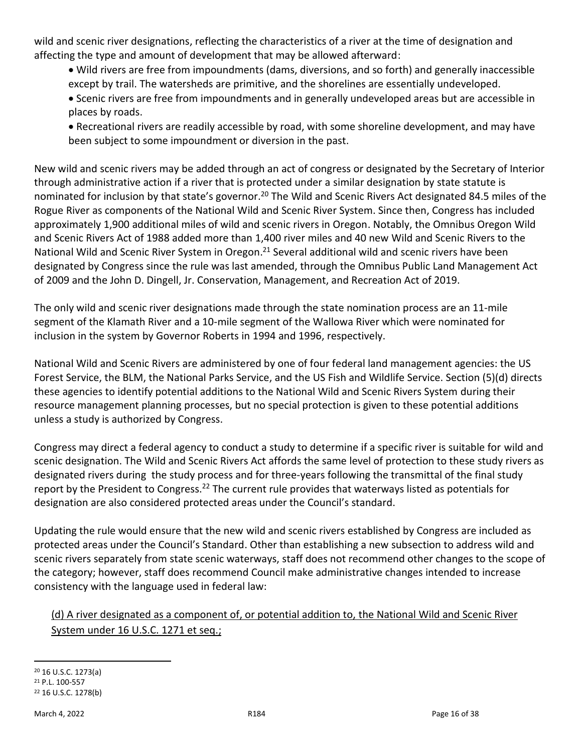wild and scenic river designations, reflecting the characteristics of a river at the time of designation and affecting the type and amount of development that may be allowed afterward:

- Wild rivers are free from impoundments (dams, diversions, and so forth) and generally inaccessible except by trail. The watersheds are primitive, and the shorelines are essentially undeveloped.
- Scenic rivers are free from impoundments and in generally undeveloped areas but are accessible in places by roads.
- Recreational rivers are readily accessible by road, with some shoreline development, and may have been subject to some impoundment or diversion in the past.

New wild and scenic rivers may be added through an act of congress or designated by the Secretary of Interior through administrative action if a river that is protected under a similar designation by state statute is nominated for inclusion by that state's governor.<sup>20</sup> The Wild and Scenic Rivers Act designated 84.5 miles of the Rogue River as components of the National Wild and Scenic River System. Since then, Congress has included approximately 1,900 additional miles of wild and scenic rivers in Oregon. Notably, the Omnibus Oregon Wild and Scenic Rivers Act of 1988 added more than 1,400 river miles and 40 new Wild and Scenic Rivers to the National Wild and Scenic River System in Oregon.<sup>21</sup> Several additional wild and scenic rivers have been designated by Congress since the rule was last amended, through the Omnibus Public Land Management Act of 2009 and the John D. Dingell, Jr. Conservation, Management, and Recreation Act of 2019.

The only wild and scenic river designations made through the state nomination process are an 11-mile segment of the Klamath River and a 10-mile segment of the Wallowa River which were nominated for inclusion in the system by Governor Roberts in 1994 and 1996, respectively.

National Wild and Scenic Rivers are administered by one of four federal land management agencies: the US Forest Service, the BLM, the National Parks Service, and the US Fish and Wildlife Service. Section (5)(d) directs these agencies to identify potential additions to the National Wild and Scenic Rivers System during their resource management planning processes, but no special protection is given to these potential additions unless a study is authorized by Congress.

Congress may direct a federal agency to conduct a study to determine if a specific river is suitable for wild and scenic designation. The Wild and Scenic Rivers Act affords the same level of protection to these study rivers as designated rivers during the study process and for three-years following the transmittal of the final study report by the President to Congress.<sup>22</sup> The current rule provides that waterways listed as potentials for designation are also considered protected areas under the Council's standard.

Updating the rule would ensure that the new wild and scenic rivers established by Congress are included as protected areas under the Council's Standard. Other than establishing a new subsection to address wild and scenic rivers separately from state scenic waterways, staff does not recommend other changes to the scope of the category; however, staff does recommend Council make administrative changes intended to increase consistency with the language used in federal law:

# (d) A river designated as a component of, or potential addition to, the National Wild and Scenic River System under 16 U.S.C. 1271 et seq.;

<sup>20</sup> 16 U.S.C. 1273(a) <sup>21</sup> P.L. 100-557 <sup>22</sup> 16 U.S.C. 1278(b)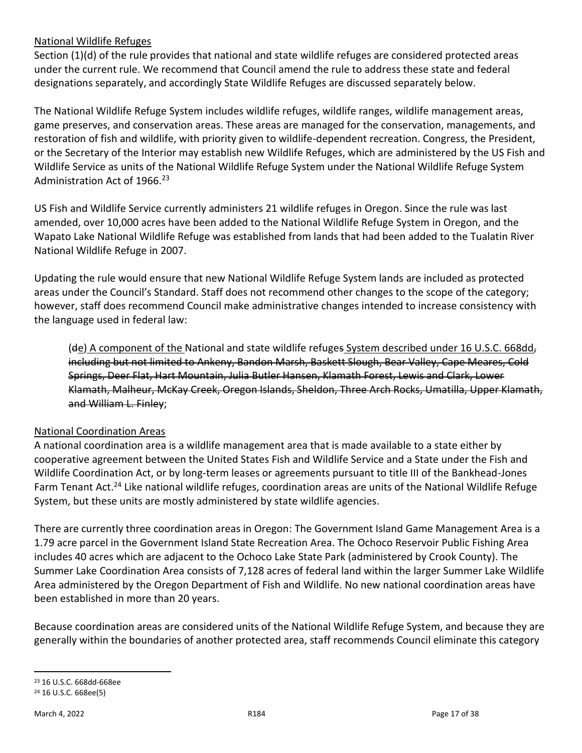### National Wildlife Refuges

Section (1)(d) of the rule provides that national and state wildlife refuges are considered protected areas under the current rule. We recommend that Council amend the rule to address these state and federal designations separately, and accordingly State Wildlife Refuges are discussed separately below.

The National Wildlife Refuge System includes wildlife refuges, wildlife ranges, wildlife management areas, game preserves, and conservation areas. These areas are managed for the conservation, managements, and restoration of fish and wildlife, with priority given to wildlife-dependent recreation. Congress, the President, or the Secretary of the Interior may establish new Wildlife Refuges, which are administered by the US Fish and Wildlife Service as units of the National Wildlife Refuge System under the National Wildlife Refuge System Administration Act of 1966.<sup>23</sup>

US Fish and Wildlife Service currently administers 21 wildlife refuges in Oregon. Since the rule was last amended, over 10,000 acres have been added to the National Wildlife Refuge System in Oregon, and the Wapato Lake National Wildlife Refuge was established from lands that had been added to the Tualatin River National Wildlife Refuge in 2007.

Updating the rule would ensure that new National Wildlife Refuge System lands are included as protected areas under the Council's Standard. Staff does not recommend other changes to the scope of the category; however, staff does recommend Council make administrative changes intended to increase consistency with the language used in federal law:

(de) A component of the National and state wildlife refuges System described under 16 U.S.C. 668dd, including but not limited to Ankeny, Bandon Marsh, Baskett Slough, Bear Valley, Cape Meares, Cold Springs, Deer Flat, Hart Mountain, Julia Butler Hansen, Klamath Forest, Lewis and Clark, Lower Klamath, Malheur, McKay Creek, Oregon Islands, Sheldon, Three Arch Rocks, Umatilla, Upper Klamath, and William L. Finley;

### National Coordination Areas

A national coordination area is a wildlife management area that is made available to a state either by cooperative agreement between the United States Fish and Wildlife Service and a State under the Fish and Wildlife Coordination Act, or by long-term leases or agreements pursuant to title III of the Bankhead-Jones Farm Tenant Act.<sup>24</sup> Like national wildlife refuges, coordination areas are units of the National Wildlife Refuge System, but these units are mostly administered by state wildlife agencies.

There are currently three coordination areas in Oregon: The Government Island Game Management Area is a 1.79 acre parcel in the Government Island State Recreation Area. The Ochoco Reservoir Public Fishing Area includes 40 acres which are adjacent to the Ochoco Lake State Park (administered by Crook County). The Summer Lake Coordination Area consists of 7,128 acres of federal land within the larger Summer Lake Wildlife Area administered by the Oregon Department of Fish and Wildlife. No new national coordination areas have been established in more than 20 years.

Because coordination areas are considered units of the National Wildlife Refuge System, and because they are generally within the boundaries of another protected area, staff recommends Council eliminate this category

<sup>23</sup> 16 U.S.C. 668dd-668ee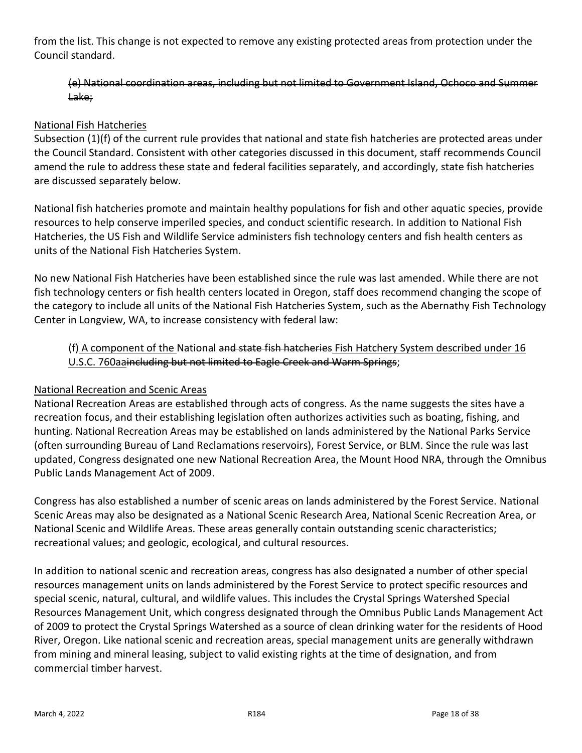from the list. This change is not expected to remove any existing protected areas from protection under the Council standard.

#### (e) National coordination areas, including but not limited to Government Island, Ochoco and Summer Lake;

#### National Fish Hatcheries

Subsection (1)(f) of the current rule provides that national and state fish hatcheries are protected areas under the Council Standard. Consistent with other categories discussed in this document, staff recommends Council amend the rule to address these state and federal facilities separately, and accordingly, state fish hatcheries are discussed separately below.

National fish hatcheries promote and maintain healthy populations for fish and other aquatic species, provide resources to help conserve imperiled species, and conduct scientific research. In addition to National Fish Hatcheries, the US Fish and Wildlife Service administers fish technology centers and fish health centers as units of the National Fish Hatcheries System.

No new National Fish Hatcheries have been established since the rule was last amended. While there are not fish technology centers or fish health centers located in Oregon, staff does recommend changing the scope of the category to include all units of the National Fish Hatcheries System, such as the Abernathy Fish Technology Center in Longview, WA, to increase consistency with federal law:

(f) A component of the National and state fish hatcheries Fish Hatchery System described under 16 U.S.C. 760aaincluding but not limited to Eagle Creek and Warm Springs;

### National Recreation and Scenic Areas

National Recreation Areas are established through acts of congress. As the name suggests the sites have a recreation focus, and their establishing legislation often authorizes activities such as boating, fishing, and hunting. National Recreation Areas may be established on lands administered by the National Parks Service (often surrounding Bureau of Land Reclamations reservoirs), Forest Service, or BLM. Since the rule was last updated, Congress designated one new National Recreation Area, the Mount Hood NRA, through the Omnibus Public Lands Management Act of 2009.

Congress has also established a number of scenic areas on lands administered by the Forest Service. National Scenic Areas may also be designated as a National Scenic Research Area, National Scenic Recreation Area, or National Scenic and Wildlife Areas. These areas generally contain outstanding scenic characteristics; recreational values; and geologic, ecological, and cultural resources.

In addition to national scenic and recreation areas, congress has also designated a number of other special resources management units on lands administered by the Forest Service to protect specific resources and special scenic, natural, cultural, and wildlife values. This includes the Crystal Springs Watershed Special Resources Management Unit, which congress designated through the Omnibus Public Lands Management Act of 2009 to protect the Crystal Springs Watershed as a source of clean drinking water for the residents of Hood River, Oregon. Like national scenic and recreation areas, special management units are generally withdrawn from mining and mineral leasing, subject to valid existing rights at the time of designation, and from commercial timber harvest.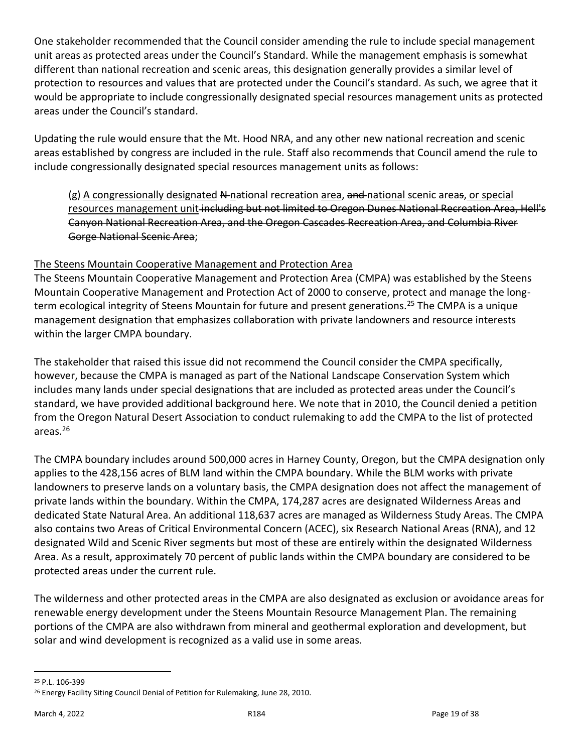One stakeholder recommended that the Council consider amending the rule to include special management unit areas as protected areas under the Council's Standard. While the management emphasis is somewhat different than national recreation and scenic areas, this designation generally provides a similar level of protection to resources and values that are protected under the Council's standard. As such, we agree that it would be appropriate to include congressionally designated special resources management units as protected areas under the Council's standard.

Updating the rule would ensure that the Mt. Hood NRA, and any other new national recreation and scenic areas established by congress are included in the rule. Staff also recommends that Council amend the rule to include congressionally designated special resources management units as follows:

 $(g)$  A congressionally designated N-national recreation area, and national scenic areas, or special resources management unit-including but not limited to Oregon Dunes National Recreation Area, Hell's Canyon National Recreation Area, and the Oregon Cascades Recreation Area, and Columbia River Gorge National Scenic Area;

### The Steens Mountain Cooperative Management and Protection Area

The Steens Mountain Cooperative Management and Protection Area (CMPA) was established by the Steens Mountain Cooperative Management and Protection Act of 2000 to conserve, protect and manage the longterm ecological integrity of Steens Mountain for future and present generations.<sup>25</sup> The CMPA is a unique management designation that emphasizes collaboration with private landowners and resource interests within the larger CMPA boundary.

The stakeholder that raised this issue did not recommend the Council consider the CMPA specifically, however, because the CMPA is managed as part of the National Landscape Conservation System which includes many lands under special designations that are included as protected areas under the Council's standard, we have provided additional background here. We note that in 2010, the Council denied a petition from the Oregon Natural Desert Association to conduct rulemaking to add the CMPA to the list of protected areas.<sup>26</sup>

The CMPA boundary includes around 500,000 acres in Harney County, Oregon, but the CMPA designation only applies to the 428,156 acres of BLM land within the CMPA boundary. While the BLM works with private landowners to preserve lands on a voluntary basis, the CMPA designation does not affect the management of private lands within the boundary. Within the CMPA, 174,287 acres are designated Wilderness Areas and dedicated State Natural Area. An additional 118,637 acres are managed as Wilderness Study Areas. The CMPA also contains two Areas of Critical Environmental Concern (ACEC), six Research National Areas (RNA), and 12 designated Wild and Scenic River segments but most of these are entirely within the designated Wilderness Area. As a result, approximately 70 percent of public lands within the CMPA boundary are considered to be protected areas under the current rule.

The wilderness and other protected areas in the CMPA are also designated as exclusion or avoidance areas for renewable energy development under the Steens Mountain Resource Management Plan. The remaining portions of the CMPA are also withdrawn from mineral and geothermal exploration and development, but solar and wind development is recognized as a valid use in some areas.

<sup>25</sup> P.L. 106-399

<sup>26</sup> Energy Facility Siting Council Denial of Petition for Rulemaking, June 28, 2010.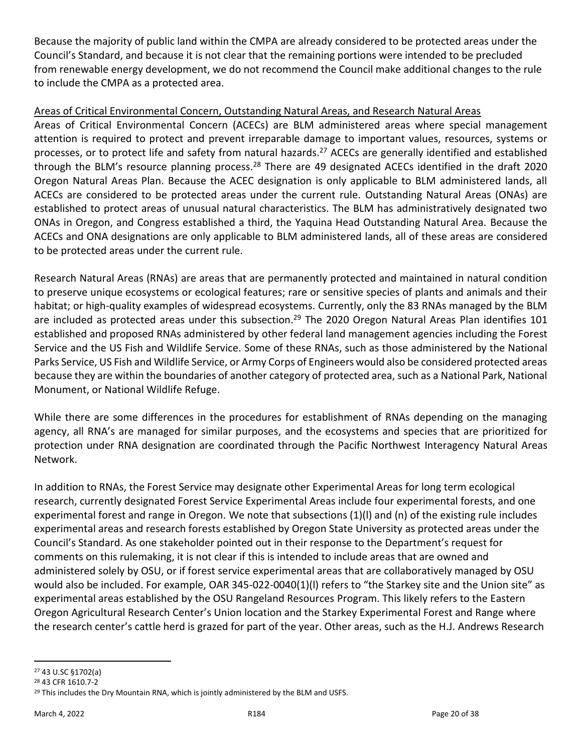Because the majority of public land within the CMPA are already considered to be protected areas under the Council's Standard, and because it is not clear that the remaining portions were intended to be precluded from renewable energy development, we do not recommend the Council make additional changes to the rule to include the CMPA as a protected area.

### Areas of Critical Environmental Concern, Outstanding Natural Areas, and Research Natural Areas

Areas of Critical Environmental Concern (ACECs) are BLM administered areas where special management attention is required to protect and prevent irreparable damage to important values, resources, systems or processes, or to protect life and safety from natural hazards.<sup>27</sup> ACECs are generally identified and established through the BLM's resource planning process.<sup>28</sup> There are 49 designated ACECs identified in the draft 2020 Oregon Natural Areas Plan. Because the ACEC designation is only applicable to BLM administered lands, all ACECs are considered to be protected areas under the current rule. Outstanding Natural Areas (ONAs) are established to protect areas of unusual natural characteristics. The BLM has administratively designated two ONAs in Oregon, and Congress established a third, the Yaquina Head Outstanding Natural Area. Because the ACECs and ONA designations are only applicable to BLM administered lands, all of these areas are considered to be protected areas under the current rule.

Research Natural Areas (RNAs) are areas that are permanently protected and maintained in natural condition to preserve unique ecosystems or ecological features; rare or sensitive species of plants and animals and their habitat; or high-quality examples of widespread ecosystems. Currently, only the 83 RNAs managed by the BLM are included as protected areas under this subsection.<sup>29</sup> The 2020 Oregon Natural Areas Plan identifies 101 established and proposed RNAs administered by other federal land management agencies including the Forest Service and the US Fish and Wildlife Service. Some of these RNAs, such as those administered by the National Parks Service, US Fish and Wildlife Service, or Army Corps of Engineers would also be considered protected areas because they are within the boundaries of another category of protected area, such as a National Park, National Monument, or National Wildlife Refuge.

While there are some differences in the procedures for establishment of RNAs depending on the managing agency, all RNA's are managed for similar purposes, and the ecosystems and species that are prioritized for protection under RNA designation are coordinated through the Pacific Northwest Interagency Natural Areas Network.

In addition to RNAs, the Forest Service may designate other Experimental Areas for long term ecological research, currently designated Forest Service Experimental Areas include four experimental forests, and one experimental forest and range in Oregon. We note that subsections (1)(l) and (n) of the existing rule includes experimental areas and research forests established by Oregon State University as protected areas under the Council's Standard. As one stakeholder pointed out in their response to the Department's request for comments on this rulemaking, it is not clear if this is intended to include areas that are owned and administered solely by OSU, or if forest service experimental areas that are collaboratively managed by OSU would also be included. For example, OAR 345-022-0040(1)(l) refers to "the Starkey site and the Union site" as experimental areas established by the OSU Rangeland Resources Program. This likely refers to the Eastern Oregon Agricultural Research Center's Union location and the Starkey Experimental Forest and Range where the research center's cattle herd is grazed for part of the year. Other areas, such as the H.J. Andrews Research

<sup>27</sup> 43 U.SC §1702(a)

<sup>28</sup> 43 CFR 1610.7-2

<sup>&</sup>lt;sup>29</sup> This includes the Dry Mountain RNA, which is jointly administered by the BLM and USFS.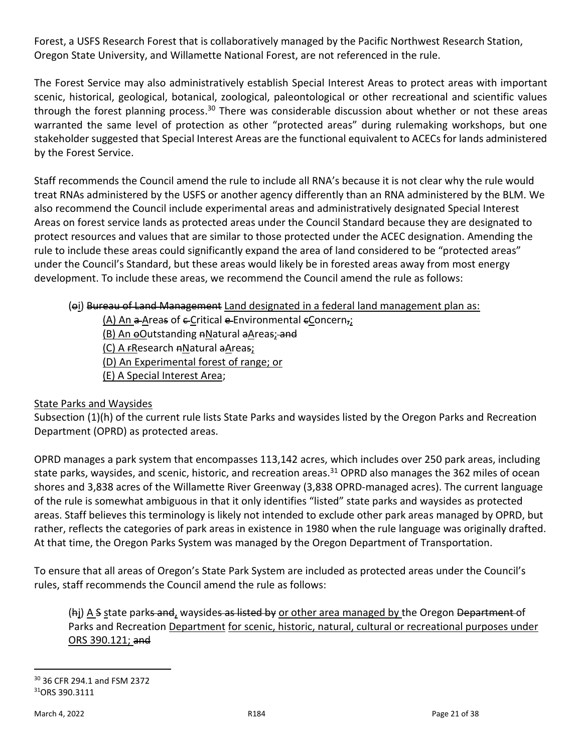Forest, a USFS Research Forest that is collaboratively managed by the Pacific Northwest Research Station, Oregon State University, and Willamette National Forest, are not referenced in the rule.

The Forest Service may also administratively establish Special Interest Areas to protect areas with important scenic, historical, geological, botanical, zoological, paleontological or other recreational and scientific values through the forest planning process.<sup>30</sup> There was considerable discussion about whether or not these areas warranted the same level of protection as other "protected areas" during rulemaking workshops, but one stakeholder suggested that Special Interest Areas are the functional equivalent to ACECs for lands administered by the Forest Service.

Staff recommends the Council amend the rule to include all RNA's because it is not clear why the rule would treat RNAs administered by the USFS or another agency differently than an RNA administered by the BLM. We also recommend the Council include experimental areas and administratively designated Special Interest Areas on forest service lands as protected areas under the Council Standard because they are designated to protect resources and values that are similar to those protected under the ACEC designation. Amending the rule to include these areas could significantly expand the area of land considered to be "protected areas" under the Council's Standard, but these areas would likely be in forested areas away from most energy development. To include these areas, we recommend the Council amend the rule as follows:

### (ei) Bureau of Land Management Land designated in a federal land management plan as:

(A) An  $a$ -Areas of  $c$ -Critical  $c$ -Environmental  $c$ Concern,; (B) An oOutstanding aNatural aAreas; and (C) A FResearch nNatural aAreas; (D) An Experimental forest of range; or (E) A Special Interest Area;

### State Parks and Waysides

Subsection (1)(h) of the current rule lists State Parks and waysides listed by the Oregon Parks and Recreation Department (OPRD) as protected areas.

OPRD manages a park system that encompasses 113,142 acres, which includes over 250 park areas, including state parks, waysides, and scenic, historic, and recreation areas.<sup>31</sup> OPRD also manages the 362 miles of ocean shores and 3,838 acres of the Willamette River Greenway (3,838 OPRD-managed acres). The current language of the rule is somewhat ambiguous in that it only identifies "listed" state parks and waysides as protected areas. Staff believes this terminology is likely not intended to exclude other park areas managed by OPRD, but rather, reflects the categories of park areas in existence in 1980 when the rule language was originally drafted. At that time, the Oregon Parks System was managed by the Oregon Department of Transportation.

To ensure that all areas of Oregon's State Park System are included as protected areas under the Council's rules, staff recommends the Council amend the rule as follows:

(hj) A S state parks and, waysides as listed by or other area managed by the Oregon Department of Parks and Recreation Department for scenic, historic, natural, cultural or recreational purposes under ORS 390.121; and

<sup>30</sup> 36 CFR 294.1 and FSM 2372 <sup>31</sup>ORS 390.3111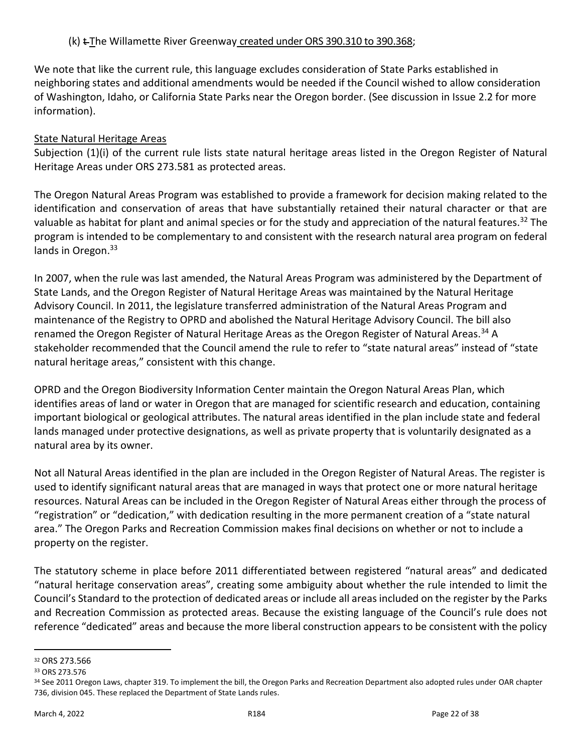We note that like the current rule, this language excludes consideration of State Parks established in neighboring states and additional amendments would be needed if the Council wished to allow consideration of Washington, Idaho, or California State Parks near the Oregon border. (See discussion in Issue 2.2 for more information).

# State Natural Heritage Areas

Subjection (1)(i) of the current rule lists state natural heritage areas listed in the Oregon Register of Natural Heritage Areas under ORS 273.581 as protected areas.

The Oregon Natural Areas Program was established to provide a framework for decision making related to the identification and conservation of areas that have substantially retained their natural character or that are valuable as habitat for plant and animal species or for the study and appreciation of the natural features.<sup>32</sup> The program is intended to be complementary to and consistent with the research natural area program on federal lands in Oregon.<sup>33</sup>

In 2007, when the rule was last amended, the Natural Areas Program was administered by the Department of State Lands, and the Oregon Register of Natural Heritage Areas was maintained by the Natural Heritage Advisory Council. In 2011, the legislature transferred administration of the Natural Areas Program and maintenance of the Registry to OPRD and abolished the Natural Heritage Advisory Council. The bill also renamed the Oregon Register of Natural Heritage Areas as the Oregon Register of Natural Areas.<sup>34</sup> A stakeholder recommended that the Council amend the rule to refer to "state natural areas" instead of "state natural heritage areas," consistent with this change.

OPRD and the Oregon Biodiversity Information Center maintain the Oregon Natural Areas Plan, which identifies areas of land or water in Oregon that are managed for scientific research and education, containing important biological or geological attributes. The natural areas identified in the plan include state and federal lands managed under protective designations, as well as private property that is voluntarily designated as a natural area by its owner.

Not all Natural Areas identified in the plan are included in the Oregon Register of Natural Areas. The register is used to identify significant natural areas that are managed in ways that protect one or more natural heritage resources. Natural Areas can be included in the Oregon Register of Natural Areas either through the process of "registration" or "dedication," with dedication resulting in the more permanent creation of a "state natural area." The Oregon Parks and Recreation Commission makes final decisions on whether or not to include a property on the register.

The statutory scheme in place before 2011 differentiated between registered "natural areas" and dedicated "natural heritage conservation areas", creating some ambiguity about whether the rule intended to limit the Council's Standard to the protection of dedicated areas or include all areas included on the register by the Parks and Recreation Commission as protected areas. Because the existing language of the Council's rule does not reference "dedicated" areas and because the more liberal construction appears to be consistent with the policy

<sup>32</sup> ORS 273.566

<sup>33</sup> ORS 273.576

<sup>34</sup> See 2011 Oregon Laws, chapter 319. To implement the bill, the Oregon Parks and Recreation Department also adopted rules under OAR chapter 736, division 045. These replaced the Department of State Lands rules.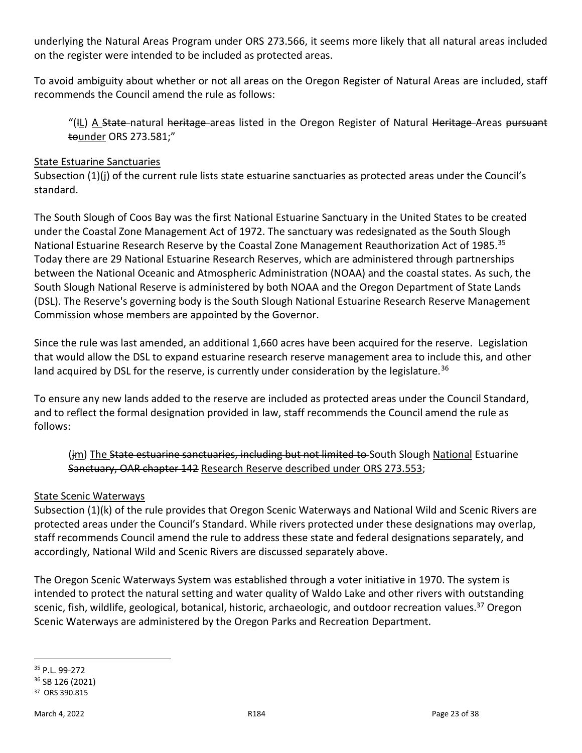underlying the Natural Areas Program under ORS 273.566, it seems more likely that all natural areas included on the register were intended to be included as protected areas.

To avoid ambiguity about whether or not all areas on the Oregon Register of Natural Areas are included, staff recommends the Council amend the rule as follows:

"(IL) A State-natural heritage areas listed in the Oregon Register of Natural Heritage Areas pursuant tounder ORS 273.581;"

#### State Estuarine Sanctuaries

Subsection (1)(j) of the current rule lists state estuarine sanctuaries as protected areas under the Council's standard.

The South Slough of Coos Bay was the first National Estuarine Sanctuary in the United States to be created under the Coastal Zone Management Act of 1972. The sanctuary was redesignated as the South Slough National Estuarine Research Reserve by the Coastal Zone Management Reauthorization Act of 1985.<sup>35</sup> Today there are 29 National Estuarine Research Reserves, which are administered through partnerships between the National Oceanic and Atmospheric Administration (NOAA) and the coastal states. As such, the South Slough National Reserve is administered by both NOAA and the Oregon Department of State Lands (DSL). The Reserve's governing body is the South Slough National Estuarine Research Reserve Management Commission whose members are appointed by the Governor.

Since the rule was last amended, an additional 1,660 acres have been acquired for the reserve. Legislation that would allow the DSL to expand estuarine research reserve management area to include this, and other land acquired by DSL for the reserve, is currently under consideration by the legislature.<sup>36</sup>

To ensure any new lands added to the reserve are included as protected areas under the Council Standard, and to reflect the formal designation provided in law, staff recommends the Council amend the rule as follows:

## (im) The State estuarine sanctuaries, including but not limited to South Slough National Estuarine Sanctuary, OAR chapter 142 Research Reserve described under ORS 273.553;

### State Scenic Waterways

Subsection (1)(k) of the rule provides that Oregon Scenic Waterways and National Wild and Scenic Rivers are protected areas under the Council's Standard. While rivers protected under these designations may overlap, staff recommends Council amend the rule to address these state and federal designations separately, and accordingly, National Wild and Scenic Rivers are discussed separately above.

The Oregon Scenic Waterways System was established through a voter initiative in 1970. The system is intended to protect the natural setting and water quality of Waldo Lake and other rivers with outstanding scenic, fish, wildlife, geological, botanical, historic, archaeologic, and outdoor recreation values.<sup>37</sup> Oregon Scenic Waterways are administered by the Oregon Parks and Recreation Department.

<sup>35</sup> P.L. 99-272

<sup>36</sup> SB 126 (2021) <sup>37</sup> ORS 390.815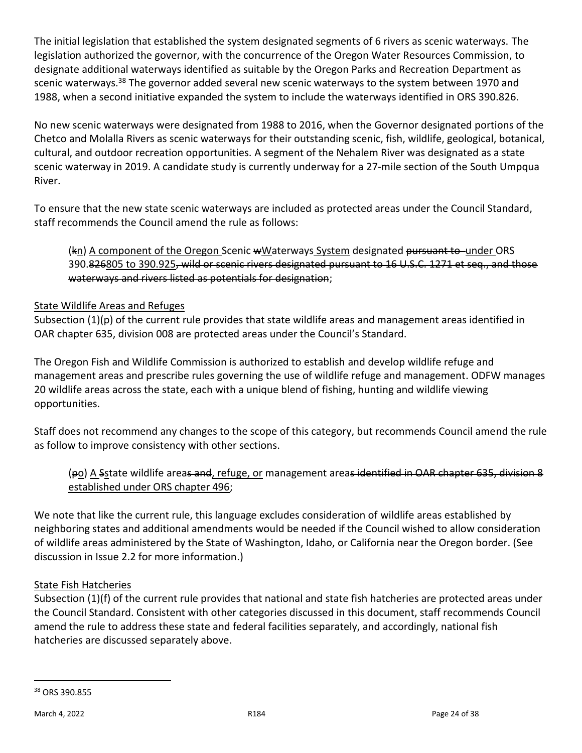The initial legislation that established the system designated segments of 6 rivers as scenic waterways. The legislation authorized the governor, with the concurrence of the Oregon Water Resources Commission, to designate additional waterways identified as suitable by the Oregon Parks and Recreation Department as scenic waterways.<sup>38</sup> The governor added several new scenic waterways to the system between 1970 and 1988, when a second initiative expanded the system to include the waterways identified in ORS 390.826.

No new scenic waterways were designated from 1988 to 2016, when the Governor designated portions of the Chetco and Molalla Rivers as scenic waterways for their outstanding scenic, fish, wildlife, geological, botanical, cultural, and outdoor recreation opportunities. A segment of the Nehalem River was designated as a state scenic waterway in 2019. A candidate study is currently underway for a 27-mile section of the South Umpqua River.

To ensure that the new state scenic waterways are included as protected areas under the Council Standard, staff recommends the Council amend the rule as follows:

(kn) A component of the Oregon Scenic wWaterways System designated pursuant to under ORS 390.826805 to 390.925, wild or scenic rivers designated pursuant to 16 U.S.C. 1271 et seq., and those waterways and rivers listed as potentials for designation;

## State Wildlife Areas and Refuges

Subsection (1)(p) of the current rule provides that state wildlife areas and management areas identified in OAR chapter 635, division 008 are protected areas under the Council's Standard.

The Oregon Fish and Wildlife Commission is authorized to establish and develop wildlife refuge and management areas and prescribe rules governing the use of wildlife refuge and management. ODFW manages 20 wildlife areas across the state, each with a unique blend of fishing, hunting and wildlife viewing opportunities.

Staff does not recommend any changes to the scope of this category, but recommends Council amend the rule as follow to improve consistency with other sections.

# (po) A Sstate wildlife areas and, refuge, or management areas identified in OAR chapter 635, division 8 established under ORS chapter 496;

We note that like the current rule, this language excludes consideration of wildlife areas established by neighboring states and additional amendments would be needed if the Council wished to allow consideration of wildlife areas administered by the State of Washington, Idaho, or California near the Oregon border. (See discussion in Issue 2.2 for more information.)

# State Fish Hatcheries

Subsection (1)(f) of the current rule provides that national and state fish hatcheries are protected areas under the Council Standard. Consistent with other categories discussed in this document, staff recommends Council amend the rule to address these state and federal facilities separately, and accordingly, national fish hatcheries are discussed separately above.

<sup>38</sup> ORS 390.855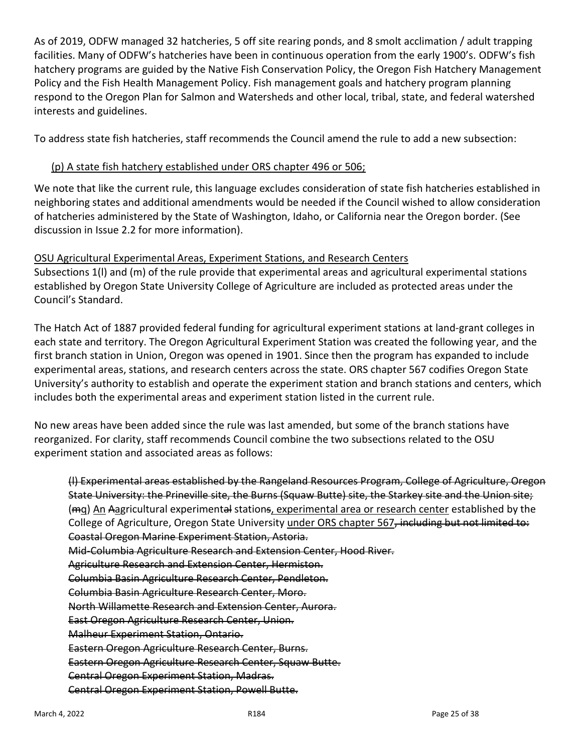As of 2019, ODFW managed 32 hatcheries, 5 off site rearing ponds, and 8 smolt acclimation / adult trapping facilities. Many of ODFW's hatcheries have been in continuous operation from the early 1900's. ODFW's fish hatchery programs are guided by the Native Fish Conservation Policy, the Oregon Fish Hatchery Management Policy and the Fish Health Management Policy. Fish management goals and hatchery program planning respond to the Oregon Plan for Salmon and Watersheds and other local, tribal, state, and federal watershed interests and guidelines.

To address state fish hatcheries, staff recommends the Council amend the rule to add a new subsection:

### (p) A state fish hatchery established under ORS chapter 496 or 506;

We note that like the current rule, this language excludes consideration of state fish hatcheries established in neighboring states and additional amendments would be needed if the Council wished to allow consideration of hatcheries administered by the State of Washington, Idaho, or California near the Oregon border. (See discussion in Issue 2.2 for more information).

#### OSU Agricultural Experimental Areas, Experiment Stations, and Research Centers

Subsections 1(l) and (m) of the rule provide that experimental areas and agricultural experimental stations established by Oregon State University College of Agriculture are included as protected areas under the Council's Standard.

The Hatch Act of 1887 provided federal funding for agricultural experiment stations at land-grant colleges in each state and territory. The Oregon Agricultural Experiment Station was created the following year, and the first branch station in Union, Oregon was opened in 1901. Since then the program has expanded to include experimental areas, stations, and research centers across the state. ORS chapter 567 codifies Oregon State University's authority to establish and operate the experiment station and branch stations and centers, which includes both the experimental areas and experiment station listed in the current rule.

No new areas have been added since the rule was last amended, but some of the branch stations have reorganized. For clarity, staff recommends Council combine the two subsections related to the OSU experiment station and associated areas as follows:

(l) Experimental areas established by the Rangeland Resources Program, College of Agriculture, Oregon State University: the Prineville site, the Burns (Squaw Butte) site, the Starkey site and the Union site; (mq) An Aagricultural experimental stations, experimental area or research center established by the College of Agriculture, Oregon State University under ORS chapter 567, including but not limited to: Coastal Oregon Marine Experiment Station, Astoria. Mid-Columbia Agriculture Research and Extension Center, Hood River. Agriculture Research and Extension Center, Hermiston. Columbia Basin Agriculture Research Center, Pendleton. Columbia Basin Agriculture Research Center, Moro. North Willamette Research and Extension Center, Aurora. East Oregon Agriculture Research Center, Union. Malheur Experiment Station, Ontario. Eastern Oregon Agriculture Research Center, Burns. Eastern Oregon Agriculture Research Center, Squaw Butte. Central Oregon Experiment Station, Madras. Central Oregon Experiment Station, Powell Butte.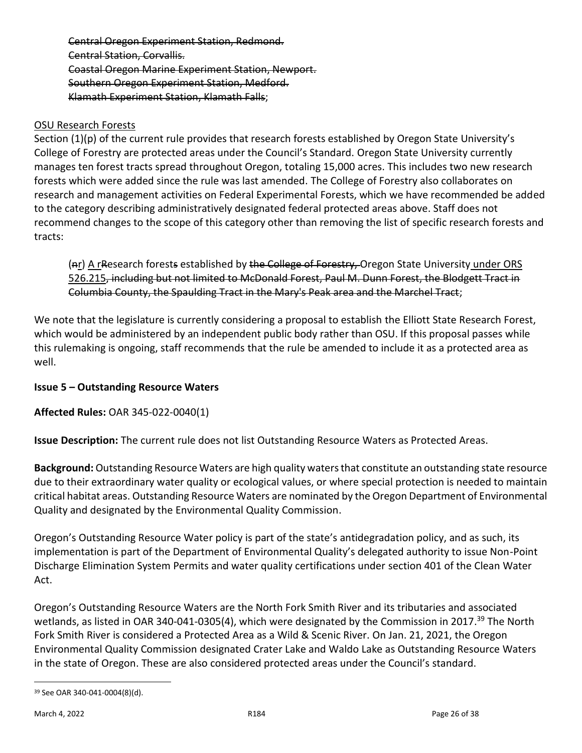Central Oregon Experiment Station, Redmond. Central Station, Corvallis. Coastal Oregon Marine Experiment Station, Newport. Southern Oregon Experiment Station, Medford. Klamath Experiment Station, Klamath Falls;

#### OSU Research Forests

Section (1)(p) of the current rule provides that research forests established by Oregon State University's College of Forestry are protected areas under the Council's Standard. Oregon State University currently manages ten forest tracts spread throughout Oregon, totaling 15,000 acres. This includes two new research forests which were added since the rule was last amended. The College of Forestry also collaborates on research and management activities on Federal Experimental Forests, which we have recommended be added to the category describing administratively designated federal protected areas above. Staff does not recommend changes to the scope of this category other than removing the list of specific research forests and tracts:

(ar) A research forests established by the College of Forestry, Oregon State University under ORS 526.215, including but not limited to McDonald Forest, Paul M. Dunn Forest, the Blodgett Tract in Columbia County, the Spaulding Tract in the Mary's Peak area and the Marchel Tract;

We note that the legislature is currently considering a proposal to establish the Elliott State Research Forest, which would be administered by an independent public body rather than OSU. If this proposal passes while this rulemaking is ongoing, staff recommends that the rule be amended to include it as a protected area as well.

### **Issue 5 – Outstanding Resource Waters**

**Affected Rules:** OAR 345-022-0040(1)

**Issue Description:** The current rule does not list Outstanding Resource Waters as Protected Areas.

**Background:** Outstanding Resource Waters are high quality waters that constitute an outstanding state resource due to their extraordinary water quality or ecological values, or where special protection is needed to maintain critical habitat areas. Outstanding Resource Waters are nominated by the Oregon Department of Environmental Quality and designated by the Environmental Quality Commission.

Oregon's Outstanding Resource Water policy is part of the state's antidegradation policy, and as such, its implementation is part of the Department of Environmental Quality's delegated authority to issue Non-Point Discharge Elimination System Permits and water quality certifications under section 401 of the Clean Water Act.

Oregon's Outstanding Resource Waters are the North Fork Smith River and its tributaries and associated wetlands, as listed in OAR 340-041-0305(4), which were designated by the Commission in 2017.<sup>39</sup> The North Fork Smith River is considered a Protected Area as a Wild & Scenic River. On Jan. 21, 2021, the Oregon Environmental Quality Commission designated Crater Lake and Waldo Lake as Outstanding Resource Waters in the state of Oregon. These are also considered protected areas under the Council's standard.

<sup>39</sup> See OAR 340-041-0004(8)(d).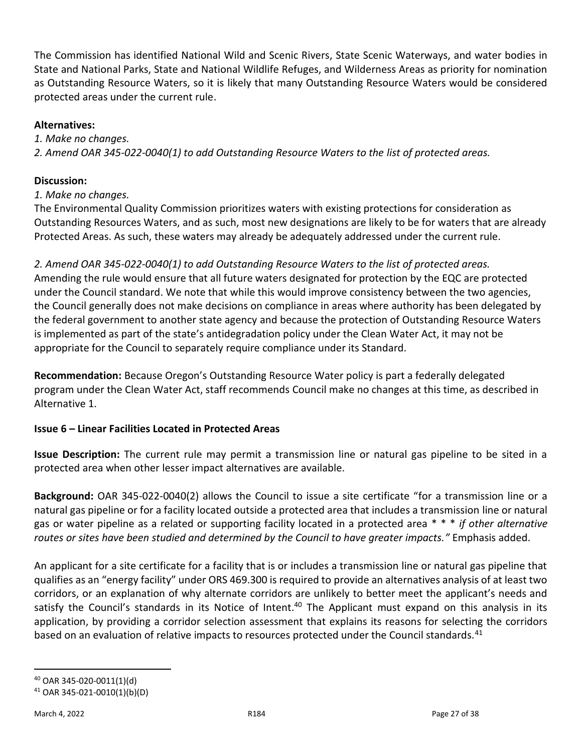The Commission has identified National Wild and Scenic Rivers, State Scenic Waterways, and water bodies in State and National Parks, State and National Wildlife Refuges, and Wilderness Areas as priority for nomination as Outstanding Resource Waters, so it is likely that many Outstanding Resource Waters would be considered protected areas under the current rule.

### **Alternatives:**

*1. Make no changes. 2. Amend OAR 345-022-0040(1) to add Outstanding Resource Waters to the list of protected areas.*

# **Discussion:**

# *1. Make no changes.*

The Environmental Quality Commission prioritizes waters with existing protections for consideration as Outstanding Resources Waters, and as such, most new designations are likely to be for waters that are already Protected Areas. As such, these waters may already be adequately addressed under the current rule.

*2. Amend OAR 345-022-0040(1) to add Outstanding Resource Waters to the list of protected areas.* Amending the rule would ensure that all future waters designated for protection by the EQC are protected under the Council standard. We note that while this would improve consistency between the two agencies, the Council generally does not make decisions on compliance in areas where authority has been delegated by the federal government to another state agency and because the protection of Outstanding Resource Waters is implemented as part of the state's antidegradation policy under the Clean Water Act, it may not be appropriate for the Council to separately require compliance under its Standard.

**Recommendation:** Because Oregon's Outstanding Resource Water policy is part a federally delegated program under the Clean Water Act, staff recommends Council make no changes at this time, as described in Alternative 1.

# **Issue 6 – Linear Facilities Located in Protected Areas**

**Issue Description:** The current rule may permit a transmission line or natural gas pipeline to be sited in a protected area when other lesser impact alternatives are available.

**Background:** OAR 345-022-0040(2) allows the Council to issue a site certificate "for a transmission line or a natural gas pipeline or for a facility located outside a protected area that includes a transmission line or natural gas or water pipeline as a related or supporting facility located in a protected area \* \* \* *if other alternative routes or sites have been studied and determined by the Council to have greater impacts."* Emphasis added.

An applicant for a site certificate for a facility that is or includes a transmission line or natural gas pipeline that qualifies as an "energy facility" under ORS 469.300 is required to provide an alternatives analysis of at least two corridors, or an explanation of why alternate corridors are unlikely to better meet the applicant's needs and satisfy the Council's standards in its Notice of Intent.<sup>40</sup> The Applicant must expand on this analysis in its application, by providing a corridor selection assessment that explains its reasons for selecting the corridors based on an evaluation of relative impacts to resources protected under the Council standards.<sup>41</sup>

<sup>40</sup> OAR 345-020-0011(1)(d)

<sup>41</sup> OAR 345-021-0010(1)(b)(D)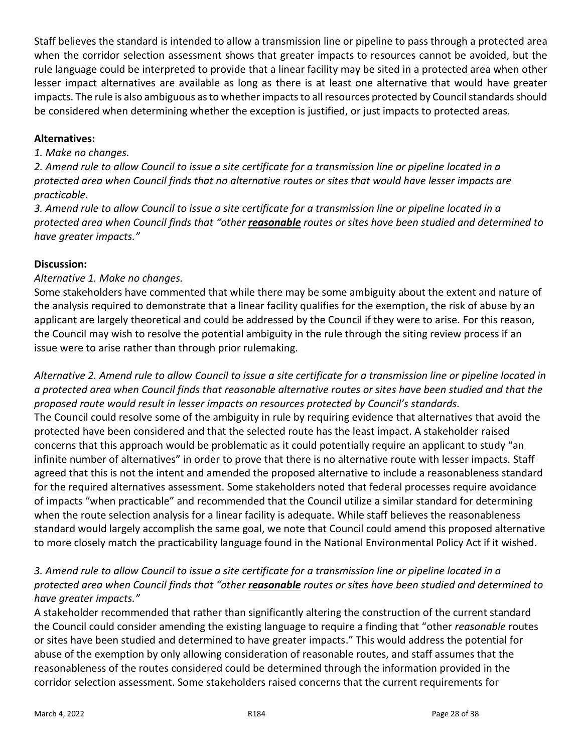Staff believes the standard is intended to allow a transmission line or pipeline to pass through a protected area when the corridor selection assessment shows that greater impacts to resources cannot be avoided, but the rule language could be interpreted to provide that a linear facility may be sited in a protected area when other lesser impact alternatives are available as long as there is at least one alternative that would have greater impacts. The rule is also ambiguous as to whether impacts to all resources protected by Council standards should be considered when determining whether the exception is justified, or just impacts to protected areas.

### **Alternatives:**

### *1. Make no changes.*

*2. Amend rule to allow Council to issue a site certificate for a transmission line or pipeline located in a protected area when Council finds that no alternative routes or sites that would have lesser impacts are practicable.*

*3. Amend rule to allow Council to issue a site certificate for a transmission line or pipeline located in a protected area when Council finds that "other reasonable routes or sites have been studied and determined to have greater impacts."*

# **Discussion:**

# *Alternative 1. Make no changes.*

Some stakeholders have commented that while there may be some ambiguity about the extent and nature of the analysis required to demonstrate that a linear facility qualifies for the exemption, the risk of abuse by an applicant are largely theoretical and could be addressed by the Council if they were to arise. For this reason, the Council may wish to resolve the potential ambiguity in the rule through the siting review process if an issue were to arise rather than through prior rulemaking.

*Alternative 2. Amend rule to allow Council to issue a site certificate for a transmission line or pipeline located in a protected area when Council finds that reasonable alternative routes or sites have been studied and that the proposed route would result in lesser impacts on resources protected by Council's standards.* The Council could resolve some of the ambiguity in rule by requiring evidence that alternatives that avoid the protected have been considered and that the selected route has the least impact. A stakeholder raised concerns that this approach would be problematic as it could potentially require an applicant to study "an infinite number of alternatives" in order to prove that there is no alternative route with lesser impacts. Staff agreed that this is not the intent and amended the proposed alternative to include a reasonableness standard for the required alternatives assessment. Some stakeholders noted that federal processes require avoidance of impacts "when practicable" and recommended that the Council utilize a similar standard for determining when the route selection analysis for a linear facility is adequate. While staff believes the reasonableness standard would largely accomplish the same goal, we note that Council could amend this proposed alternative to more closely match the practicability language found in the National Environmental Policy Act if it wished.

# *3. Amend rule to allow Council to issue a site certificate for a transmission line or pipeline located in a protected area when Council finds that "other reasonable routes or sites have been studied and determined to have greater impacts."*

A stakeholder recommended that rather than significantly altering the construction of the current standard the Council could consider amending the existing language to require a finding that "other *reasonable* routes or sites have been studied and determined to have greater impacts." This would address the potential for abuse of the exemption by only allowing consideration of reasonable routes, and staff assumes that the reasonableness of the routes considered could be determined through the information provided in the corridor selection assessment. Some stakeholders raised concerns that the current requirements for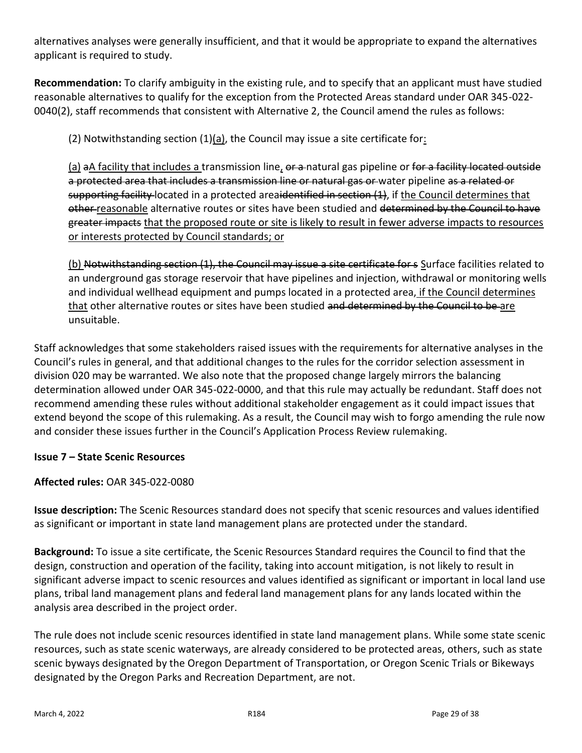alternatives analyses were generally insufficient, and that it would be appropriate to expand the alternatives applicant is required to study.

**Recommendation:** To clarify ambiguity in the existing rule, and to specify that an applicant must have studied reasonable alternatives to qualify for the exception from the Protected Areas standard under OAR 345-022- 0040(2), staff recommends that consistent with Alternative 2, the Council amend the rules as follows:

(2) Notwithstanding section  $(1)(a)$ , the Council may issue a site certificate for:

(a) aA facility that includes a transmission line, or a natural gas pipeline or for a facility located outside a protected area that includes a transmission line or natural gas or water pipeline as a related or supporting facility located in a protected areaidentified in section (1), if the Council determines that other reasonable alternative routes or sites have been studied and determined by the Council to have greater impacts that the proposed route or site is likely to result in fewer adverse impacts to resources or interests protected by Council standards; or

(b) Notwithstanding section (1), the Council may issue a site certificate for s Surface facilities related to an underground gas storage reservoir that have pipelines and injection, withdrawal or monitoring wells and individual wellhead equipment and pumps located in a protected area, if the Council determines that other alternative routes or sites have been studied and determined by the Council to be are unsuitable.

Staff acknowledges that some stakeholders raised issues with the requirements for alternative analyses in the Council's rules in general, and that additional changes to the rules for the corridor selection assessment in division 020 may be warranted. We also note that the proposed change largely mirrors the balancing determination allowed under OAR 345-022-0000, and that this rule may actually be redundant. Staff does not recommend amending these rules without additional stakeholder engagement as it could impact issues that extend beyond the scope of this rulemaking. As a result, the Council may wish to forgo amending the rule now and consider these issues further in the Council's Application Process Review rulemaking.

### **Issue 7 – State Scenic Resources**

### **Affected rules:** OAR 345-022-0080

**Issue description:** The Scenic Resources standard does not specify that scenic resources and values identified as significant or important in state land management plans are protected under the standard.

**Background:** To issue a site certificate, the Scenic Resources Standard requires the Council to find that the design, construction and operation of the facility, taking into account mitigation, is not likely to result in significant adverse impact to scenic resources and values identified as significant or important in local land use plans, tribal land management plans and federal land management plans for any lands located within the analysis area described in the project order.

The rule does not include scenic resources identified in state land management plans. While some state scenic resources, such as state scenic waterways, are already considered to be protected areas, others, such as state scenic byways designated by the Oregon Department of Transportation, or Oregon Scenic Trials or Bikeways designated by the Oregon Parks and Recreation Department, are not.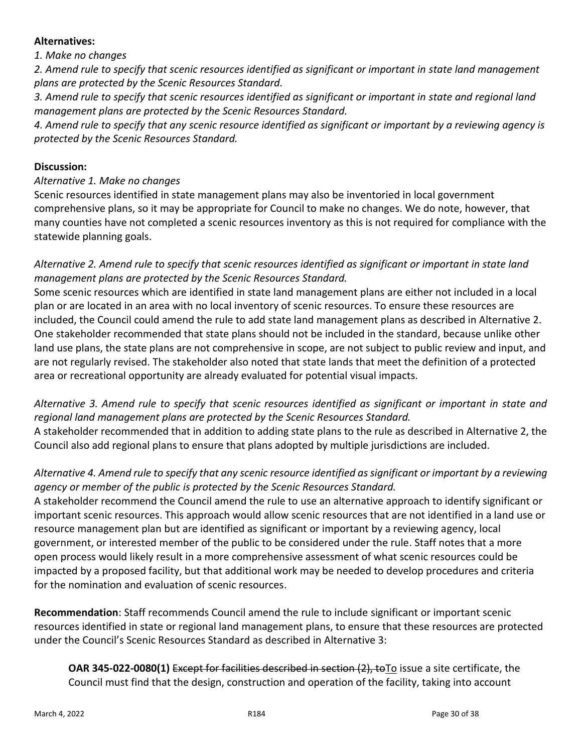#### **Alternatives:**

### *1. Make no changes*

*2. Amend rule to specify that scenic resources identified as significant or important in state land management plans are protected by the Scenic Resources Standard.*

*3. Amend rule to specify that scenic resources identified as significant or important in state and regional land management plans are protected by the Scenic Resources Standard.*

*4. Amend rule to specify that any scenic resource identified as significant or important by a reviewing agency is protected by the Scenic Resources Standard.*

#### **Discussion:**

*Alternative 1. Make no changes*

Scenic resources identified in state management plans may also be inventoried in local government comprehensive plans, so it may be appropriate for Council to make no changes. We do note, however, that many counties have not completed a scenic resources inventory as this is not required for compliance with the statewide planning goals.

### *Alternative 2. Amend rule to specify that scenic resources identified as significant or important in state land management plans are protected by the Scenic Resources Standard.*

Some scenic resources which are identified in state land management plans are either not included in a local plan or are located in an area with no local inventory of scenic resources. To ensure these resources are included, the Council could amend the rule to add state land management plans as described in Alternative 2. One stakeholder recommended that state plans should not be included in the standard, because unlike other land use plans, the state plans are not comprehensive in scope, are not subject to public review and input, and are not regularly revised. The stakeholder also noted that state lands that meet the definition of a protected area or recreational opportunity are already evaluated for potential visual impacts.

*Alternative 3. Amend rule to specify that scenic resources identified as significant or important in state and regional land management plans are protected by the Scenic Resources Standard.*

A stakeholder recommended that in addition to adding state plans to the rule as described in Alternative 2, the Council also add regional plans to ensure that plans adopted by multiple jurisdictions are included.

# *Alternative 4. Amend rule to specify that any scenic resource identified as significant or important by a reviewing agency or member of the public is protected by the Scenic Resources Standard.*

A stakeholder recommend the Council amend the rule to use an alternative approach to identify significant or important scenic resources. This approach would allow scenic resources that are not identified in a land use or resource management plan but are identified as significant or important by a reviewing agency, local government, or interested member of the public to be considered under the rule. Staff notes that a more open process would likely result in a more comprehensive assessment of what scenic resources could be impacted by a proposed facility, but that additional work may be needed to develop procedures and criteria for the nomination and evaluation of scenic resources.

**Recommendation**: Staff recommends Council amend the rule to include significant or important scenic resources identified in state or regional land management plans, to ensure that these resources are protected under the Council's Scenic Resources Standard as described in Alternative 3:

**OAR 345-022-0080(1)** Except for facilities described in section (2), to To issue a site certificate, the Council must find that the design, construction and operation of the facility, taking into account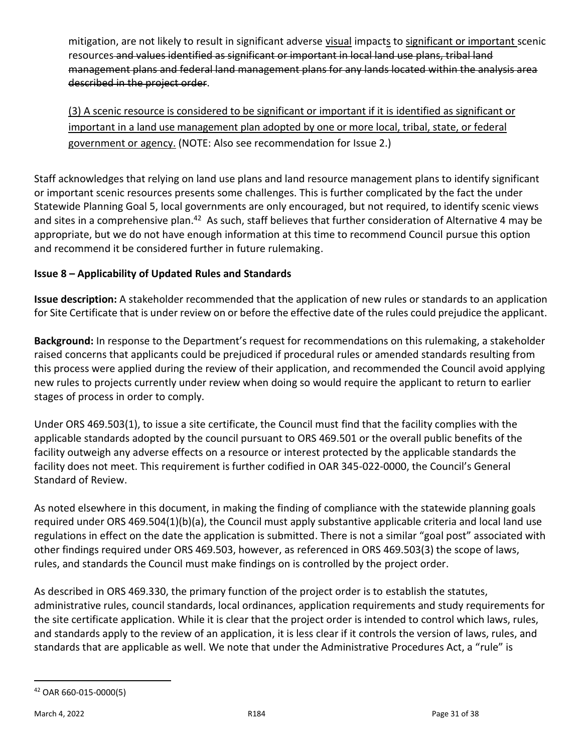mitigation, are not likely to result in significant adverse visual impacts to significant or important scenic resources and values identified as significant or important in local land use plans, tribal land management plans and federal land management plans for any lands located within the analysis area described in the project order.

(3) A scenic resource is considered to be significant or important if it is identified as significant or important in a land use management plan adopted by one or more local, tribal, state, or federal government or agency. (NOTE: Also see recommendation for Issue 2.)

Staff acknowledges that relying on land use plans and land resource management plans to identify significant or important scenic resources presents some challenges. This is further complicated by the fact the under Statewide Planning Goal 5, local governments are only encouraged, but not required, to identify scenic views and sites in a comprehensive plan.<sup>42</sup> As such, staff believes that further consideration of Alternative 4 may be appropriate, but we do not have enough information at this time to recommend Council pursue this option and recommend it be considered further in future rulemaking.

## **Issue 8 – Applicability of Updated Rules and Standards**

**Issue description:** A stakeholder recommended that the application of new rules or standards to an application for Site Certificate that is under review on or before the effective date of the rules could prejudice the applicant.

**Background:** In response to the Department's request for recommendations on this rulemaking, a stakeholder raised concerns that applicants could be prejudiced if procedural rules or amended standards resulting from this process were applied during the review of their application, and recommended the Council avoid applying new rules to projects currently under review when doing so would require the applicant to return to earlier stages of process in order to comply.

Under ORS 469.503(1), to issue a site certificate, the Council must find that the facility complies with the applicable standards adopted by the council pursuant to ORS 469.501 or the overall public benefits of the facility outweigh any adverse effects on a resource or interest protected by the applicable standards the facility does not meet. This requirement is further codified in OAR 345-022-0000, the Council's General Standard of Review.

As noted elsewhere in this document, in making the finding of compliance with the statewide planning goals required under ORS 469.504(1)(b)(a), the Council must apply substantive applicable criteria and local land use regulations in effect on the date the application is submitted. There is not a similar "goal post" associated with other findings required under ORS 469.503, however, as referenced in ORS 469.503(3) the scope of laws, rules, and standards the Council must make findings on is controlled by the project order.

As described in ORS 469.330, the primary function of the project order is to establish the statutes, administrative rules, council standards, local ordinances, application requirements and study requirements for the site certificate application. While it is clear that the project order is intended to control which laws, rules, and standards apply to the review of an application, it is less clear if it controls the version of laws, rules, and standards that are applicable as well. We note that under the Administrative Procedures Act, a "rule" is

<sup>42</sup> OAR 660-015-0000(5)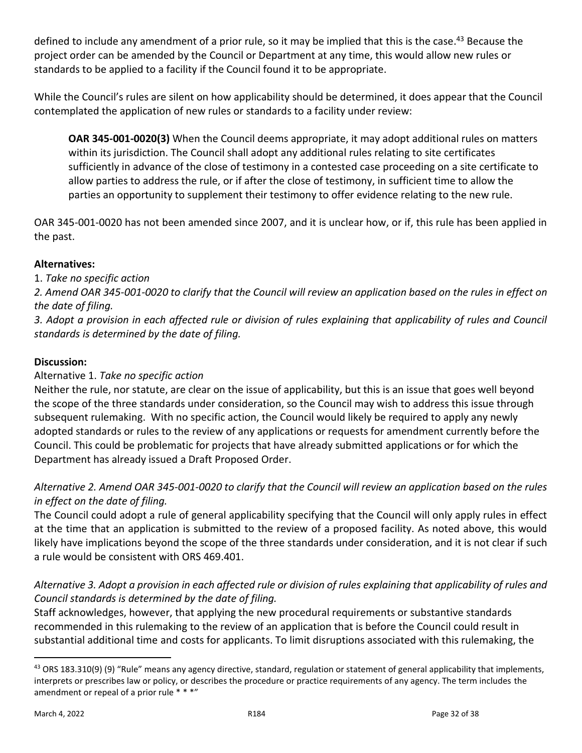defined to include any amendment of a prior rule, so it may be implied that this is the case.<sup>43</sup> Because the project order can be amended by the Council or Department at any time, this would allow new rules or standards to be applied to a facility if the Council found it to be appropriate.

While the Council's rules are silent on how applicability should be determined, it does appear that the Council contemplated the application of new rules or standards to a facility under review:

**OAR 345-001-0020(3)** When the Council deems appropriate, it may adopt additional rules on matters within its jurisdiction. The Council shall adopt any additional rules relating to site certificates sufficiently in advance of the close of testimony in a contested case proceeding on a site certificate to allow parties to address the rule, or if after the close of testimony, in sufficient time to allow the parties an opportunity to supplement their testimony to offer evidence relating to the new rule.

OAR 345-001-0020 has not been amended since 2007, and it is unclear how, or if, this rule has been applied in the past.

### **Alternatives:**

1. *Take no specific action*

*2. Amend OAR 345-001-0020 to clarify that the Council will review an application based on the rules in effect on the date of filing.* 

*3. Adopt a provision in each affected rule or division of rules explaining that applicability of rules and Council standards is determined by the date of filing.*

### **Discussion:**

### Alternative 1. *Take no specific action*

Neither the rule, nor statute, are clear on the issue of applicability, but this is an issue that goes well beyond the scope of the three standards under consideration, so the Council may wish to address this issue through subsequent rulemaking. With no specific action, the Council would likely be required to apply any newly adopted standards or rules to the review of any applications or requests for amendment currently before the Council. This could be problematic for projects that have already submitted applications or for which the Department has already issued a Draft Proposed Order.

# *Alternative 2. Amend OAR 345-001-0020 to clarify that the Council will review an application based on the rules in effect on the date of filing.*

The Council could adopt a rule of general applicability specifying that the Council will only apply rules in effect at the time that an application is submitted to the review of a proposed facility. As noted above, this would likely have implications beyond the scope of the three standards under consideration, and it is not clear if such a rule would be consistent with ORS 469.401.

# *Alternative 3. Adopt a provision in each affected rule or division of rules explaining that applicability of rules and Council standards is determined by the date of filing.*

Staff acknowledges, however, that applying the new procedural requirements or substantive standards recommended in this rulemaking to the review of an application that is before the Council could result in substantial additional time and costs for applicants. To limit disruptions associated with this rulemaking, the

<sup>43</sup> ORS 183.310(9) (9) "Rule" means any agency directive, standard, regulation or statement of general applicability that implements, interprets or prescribes law or policy, or describes the procedure or practice requirements of any agency. The term includes the amendment or repeal of a prior rule \* \* \*"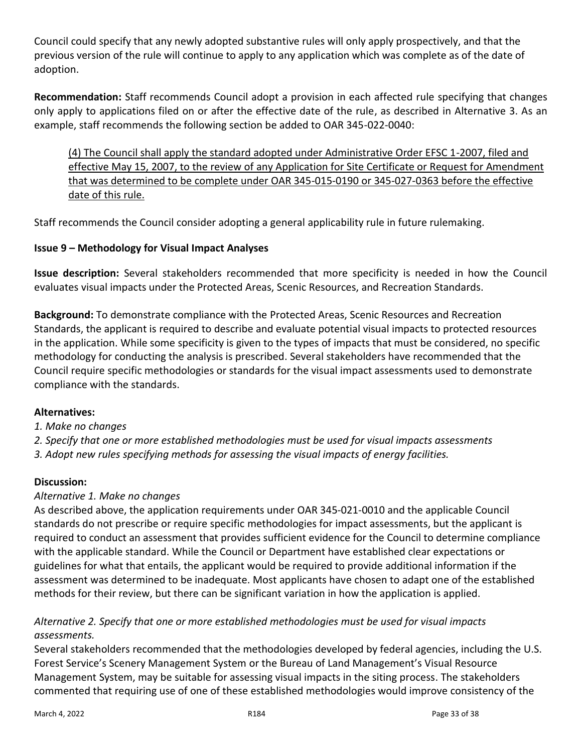Council could specify that any newly adopted substantive rules will only apply prospectively, and that the previous version of the rule will continue to apply to any application which was complete as of the date of adoption.

**Recommendation:** Staff recommends Council adopt a provision in each affected rule specifying that changes only apply to applications filed on or after the effective date of the rule, as described in Alternative 3. As an example, staff recommends the following section be added to OAR 345-022-0040:

(4) The Council shall apply the standard adopted under Administrative Order EFSC 1-2007, filed and effective May 15, 2007, to the review of any Application for Site Certificate or Request for Amendment that was determined to be complete under OAR 345-015-0190 or 345-027-0363 before the effective date of this rule.

Staff recommends the Council consider adopting a general applicability rule in future rulemaking.

## **Issue 9 – Methodology for Visual Impact Analyses**

**Issue description:** Several stakeholders recommended that more specificity is needed in how the Council evaluates visual impacts under the Protected Areas, Scenic Resources, and Recreation Standards.

**Background:** To demonstrate compliance with the Protected Areas, Scenic Resources and Recreation Standards, the applicant is required to describe and evaluate potential visual impacts to protected resources in the application. While some specificity is given to the types of impacts that must be considered, no specific methodology for conducting the analysis is prescribed. Several stakeholders have recommended that the Council require specific methodologies or standards for the visual impact assessments used to demonstrate compliance with the standards.

### **Alternatives:**

*1. Make no changes* 

*2. Specify that one or more established methodologies must be used for visual impacts assessments 3. Adopt new rules specifying methods for assessing the visual impacts of energy facilities.*

### **Discussion:**

### *Alternative 1. Make no changes*

As described above, the application requirements under OAR 345-021-0010 and the applicable Council standards do not prescribe or require specific methodologies for impact assessments, but the applicant is required to conduct an assessment that provides sufficient evidence for the Council to determine compliance with the applicable standard. While the Council or Department have established clear expectations or guidelines for what that entails, the applicant would be required to provide additional information if the assessment was determined to be inadequate. Most applicants have chosen to adapt one of the established methods for their review, but there can be significant variation in how the application is applied.

### *Alternative 2. Specify that one or more established methodologies must be used for visual impacts assessments.*

Several stakeholders recommended that the methodologies developed by federal agencies, including the U.S. Forest Service's Scenery Management System or the Bureau of Land Management's Visual Resource Management System, may be suitable for assessing visual impacts in the siting process. The stakeholders commented that requiring use of one of these established methodologies would improve consistency of the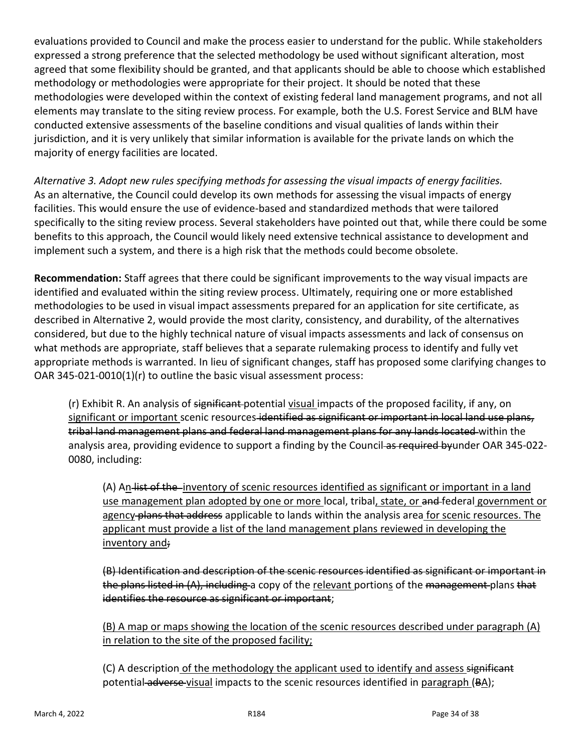evaluations provided to Council and make the process easier to understand for the public. While stakeholders expressed a strong preference that the selected methodology be used without significant alteration, most agreed that some flexibility should be granted, and that applicants should be able to choose which established methodology or methodologies were appropriate for their project. It should be noted that these methodologies were developed within the context of existing federal land management programs, and not all elements may translate to the siting review process. For example, both the U.S. Forest Service and BLM have conducted extensive assessments of the baseline conditions and visual qualities of lands within their jurisdiction, and it is very unlikely that similar information is available for the private lands on which the majority of energy facilities are located.

*Alternative 3. Adopt new rules specifying methods for assessing the visual impacts of energy facilities.* As an alternative, the Council could develop its own methods for assessing the visual impacts of energy facilities. This would ensure the use of evidence-based and standardized methods that were tailored specifically to the siting review process. Several stakeholders have pointed out that, while there could be some benefits to this approach, the Council would likely need extensive technical assistance to development and implement such a system, and there is a high risk that the methods could become obsolete.

**Recommendation:** Staff agrees that there could be significant improvements to the way visual impacts are identified and evaluated within the siting review process. Ultimately, requiring one or more established methodologies to be used in visual impact assessments prepared for an application for site certificate, as described in Alternative 2, would provide the most clarity, consistency, and durability, of the alternatives considered, but due to the highly technical nature of visual impacts assessments and lack of consensus on what methods are appropriate, staff believes that a separate rulemaking process to identify and fully vet appropriate methods is warranted. In lieu of significant changes, staff has proposed some clarifying changes to OAR 345-021-0010(1)(r) to outline the basic visual assessment process:

(r) Exhibit R. An analysis of significant potential visual impacts of the proposed facility, if any, on significant or important scenic resources-identified as significant or important in local land use plans, tribal land management plans and federal land management plans for any lands located within the analysis area, providing evidence to support a finding by the Council as required by under OAR 345-022-0080, including:

(A) An list of the inventory of scenic resources identified as significant or important in a land use management plan adopted by one or more local, tribal, state, or and-federal government or agency-plans that address applicable to lands within the analysis area for scenic resources. The applicant must provide a list of the land management plans reviewed in developing the inventory and;

(B) Identification and description of the scenic resources identified as significant or important in the plans listed in (A), including a copy of the relevant portions of the management plans that identifies the resource as significant or important;

(B) A map or maps showing the location of the scenic resources described under paragraph (A) in relation to the site of the proposed facility;

(C) A description of the methodology the applicant used to identify and assess significant potential adverse-visual impacts to the scenic resources identified in paragraph (BA);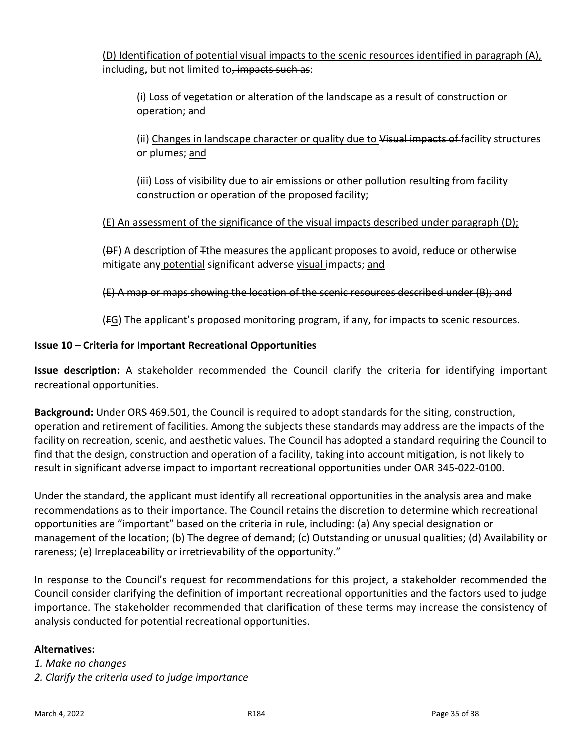(D) Identification of potential visual impacts to the scenic resources identified in paragraph (A), including, but not limited to, impacts such as:

(i) Loss of vegetation or alteration of the landscape as a result of construction or operation; and

(ii) Changes in landscape character or quality due to Visual impacts of facility structures or plumes; and

(iii) Loss of visibility due to air emissions or other pollution resulting from facility construction or operation of the proposed facility;

## (E) An assessment of the significance of the visual impacts described under paragraph (D);

(DF) A description of Tthe measures the applicant proposes to avoid, reduce or otherwise mitigate any potential significant adverse visual impacts; and

### (E) A map or maps showing the location of the scenic resources described under (B); and

(FG) The applicant's proposed monitoring program, if any, for impacts to scenic resources.

#### **Issue 10 – Criteria for Important Recreational Opportunities**

**Issue description:** A stakeholder recommended the Council clarify the criteria for identifying important recreational opportunities.

**Background:** Under ORS 469.501, the Council is required to adopt standards for the siting, construction, operation and retirement of facilities. Among the subjects these standards may address are the impacts of the facility on recreation, scenic, and aesthetic values. The Council has adopted a standard requiring the Council to find that the design, construction and operation of a facility, taking into account mitigation, is not likely to result in significant adverse impact to important recreational opportunities under OAR 345-022-0100.

Under the standard, the applicant must identify all recreational opportunities in the analysis area and make recommendations as to their importance. The Council retains the discretion to determine which recreational opportunities are "important" based on the criteria in rule, including: (a) Any special designation or management of the location; (b) The degree of demand; (c) Outstanding or unusual qualities; (d) Availability or rareness; (e) Irreplaceability or irretrievability of the opportunity."

In response to the Council's request for recommendations for this project, a stakeholder recommended the Council consider clarifying the definition of important recreational opportunities and the factors used to judge importance. The stakeholder recommended that clarification of these terms may increase the consistency of analysis conducted for potential recreational opportunities.

#### **Alternatives:**

*1. Make no changes 2. Clarify the criteria used to judge importance*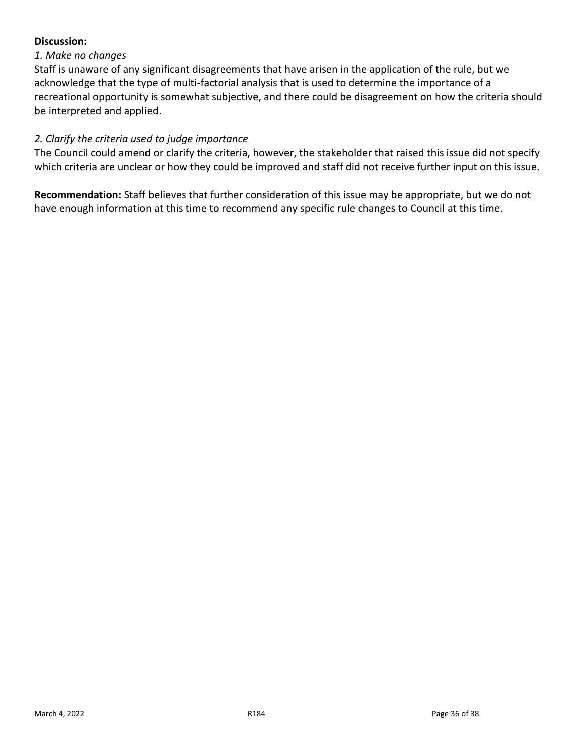### **Discussion:**

#### *1. Make no changes*

Staff is unaware of any significant disagreements that have arisen in the application of the rule, but we acknowledge that the type of multi-factorial analysis that is used to determine the importance of a recreational opportunity is somewhat subjective, and there could be disagreement on how the criteria should be interpreted and applied.

#### *2. Clarify the criteria used to judge importance*

The Council could amend or clarify the criteria, however, the stakeholder that raised this issue did not specify which criteria are unclear or how they could be improved and staff did not receive further input on this issue.

**Recommendation:** Staff believes that further consideration of this issue may be appropriate, but we do not have enough information at this time to recommend any specific rule changes to Council at this time.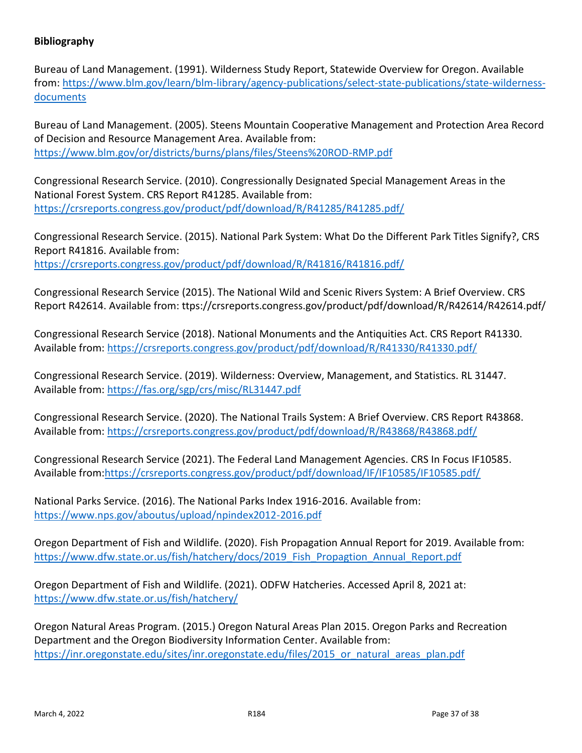### **Bibliography**

Bureau of Land Management. (1991). Wilderness Study Report, Statewide Overview for Oregon. Available from[: https://www.blm.gov/learn/blm-library/agency-publications/select-state-publications/state-wilderness](https://www.blm.gov/learn/blm-library/agency-publications/select-state-publications/state-wilderness-documents)[documents](https://www.blm.gov/learn/blm-library/agency-publications/select-state-publications/state-wilderness-documents)

Bureau of Land Management. (2005). Steens Mountain Cooperative Management and Protection Area Record of Decision and Resource Management Area. Available from: <https://www.blm.gov/or/districts/burns/plans/files/Steens%20ROD-RMP.pdf>

Congressional Research Service. (2010). Congressionally Designated Special Management Areas in the National Forest System. CRS Report R41285. Available from: <https://crsreports.congress.gov/product/pdf/download/R/R41285/R41285.pdf/>

Congressional Research Service. (2015). National Park System: What Do the Different Park Titles Signify?, CRS Report R41816. Available from: <https://crsreports.congress.gov/product/pdf/download/R/R41816/R41816.pdf/>

Congressional Research Service (2015). The National Wild and Scenic Rivers System: A Brief Overview. CRS Report R42614. Available from: ttps://crsreports.congress.gov/product/pdf/download/R/R42614/R42614.pdf/

Congressional Research Service (2018). National Monuments and the Antiquities Act. CRS Report R41330. Available from:<https://crsreports.congress.gov/product/pdf/download/R/R41330/R41330.pdf/>

Congressional Research Service. (2019). Wilderness: Overview, Management, and Statistics. RL 31447. Available from:<https://fas.org/sgp/crs/misc/RL31447.pdf>

Congressional Research Service. (2020). The National Trails System: A Brief Overview. CRS Report R43868. Available from:<https://crsreports.congress.gov/product/pdf/download/R/R43868/R43868.pdf/>

Congressional Research Service (2021). The Federal Land Management Agencies. CRS In Focus IF10585. Available from[:https://crsreports.congress.gov/product/pdf/download/IF/IF10585/IF10585.pdf/](https://crsreports.congress.gov/product/pdf/download/IF/IF10585/IF10585.pdf/)

National Parks Service. (2016). The National Parks Index 1916-2016. Available from: <https://www.nps.gov/aboutus/upload/npindex2012-2016.pdf>

Oregon Department of Fish and Wildlife. (2020). Fish Propagation Annual Report for 2019. Available from: https://www.dfw.state.or.us/fish/hatchery/docs/2019 Fish Propagtion Annual Report.pdf

Oregon Department of Fish and Wildlife. (2021). ODFW Hatcheries. Accessed April 8, 2021 at: <https://www.dfw.state.or.us/fish/hatchery/>

Oregon Natural Areas Program. (2015.) Oregon Natural Areas Plan 2015. Oregon Parks and Recreation Department and the Oregon Biodiversity Information Center. Available from: [https://inr.oregonstate.edu/sites/inr.oregonstate.edu/files/2015\\_or\\_natural\\_areas\\_plan.pdf](https://inr.oregonstate.edu/sites/inr.oregonstate.edu/files/2015_or_natural_areas_plan.pdf)